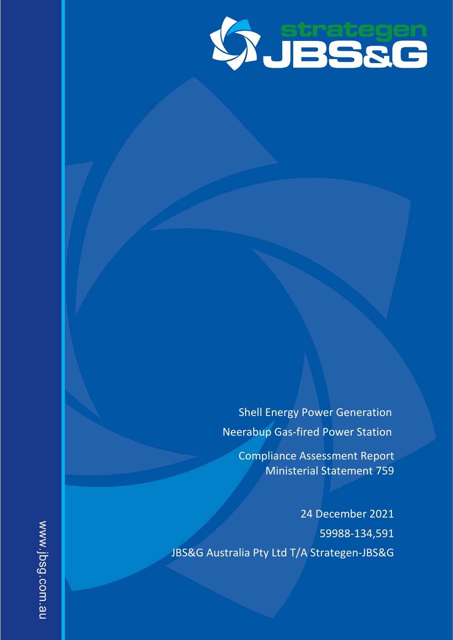

Shell Energy Power Generation Neerabup Gas-fired Power Station

Compliance Assessment Report Ministerial Statement 759

24 December 2021 59988-134,591 JBS&G Australia Pty Ltd T/A Strategen-JBS&G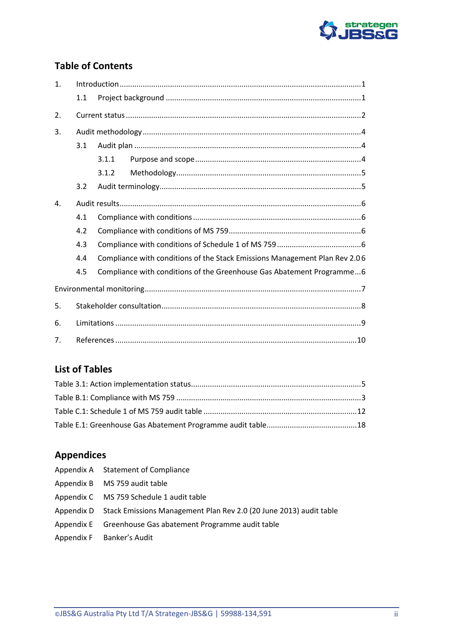

# **Table of Contents**

| 1.             |     |       |                                                                            |  |
|----------------|-----|-------|----------------------------------------------------------------------------|--|
|                | 1.1 |       |                                                                            |  |
| 2.             |     |       |                                                                            |  |
| 3.             |     |       |                                                                            |  |
|                | 3.1 |       |                                                                            |  |
|                |     | 3.1.1 |                                                                            |  |
|                |     | 3.1.2 |                                                                            |  |
|                | 3.2 |       |                                                                            |  |
| $\mathbf{4}$ . |     |       |                                                                            |  |
|                | 4.1 |       |                                                                            |  |
|                | 4.2 |       |                                                                            |  |
|                | 4.3 |       |                                                                            |  |
|                | 4.4 |       | Compliance with conditions of the Stack Emissions Management Plan Rev 2.06 |  |
|                | 4.5 |       | Compliance with conditions of the Greenhouse Gas Abatement Programme6      |  |
|                |     |       |                                                                            |  |
| 5.             |     |       |                                                                            |  |
| 6.             |     |       |                                                                            |  |
| 7.             |     |       |                                                                            |  |

# **List of Tables**

# **Appendices**

| Appendix A Statement of Compliance                                            |
|-------------------------------------------------------------------------------|
| Appendix B MS 759 audit table                                                 |
| Appendix C MS 759 Schedule 1 audit table                                      |
| Appendix D Stack Emissions Management Plan Rev 2.0 (20 June 2013) audit table |
| Appendix E Greenhouse Gas abatement Programme audit table                     |
| Appendix F Banker's Audit                                                     |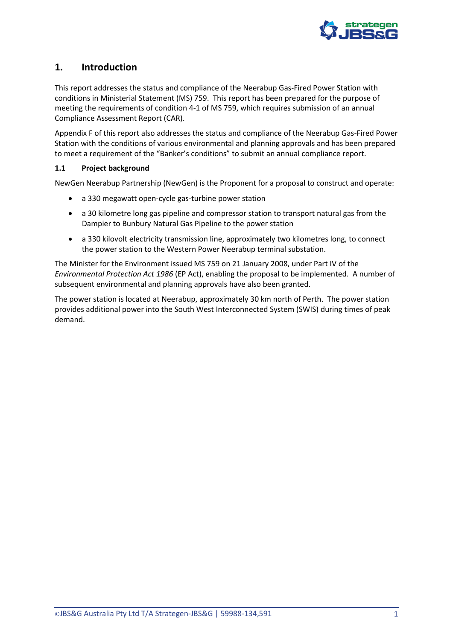

# <span id="page-2-0"></span>**1. Introduction**

This report addresses the status and compliance of the Neerabup Gas-Fired Power Station with conditions in Ministerial Statement (MS) 759. This report has been prepared for the purpose of meeting the requirements of condition 4-1 of MS 759, which requires submission of an annual Compliance Assessment Report (CAR).

[Appendix F](#page-31-0) of this report also addresses the status and compliance of the Neerabup Gas-Fired Power Station with the conditions of various environmental and planning approvals and has been prepared to meet a requirement of the "Banker's conditions" to submit an annual compliance report.

## <span id="page-2-1"></span>**1.1 Project background**

NewGen Neerabup Partnership (NewGen) is the Proponent for a proposal to construct and operate:

- a 330 megawatt open-cycle gas-turbine power station
- a 30 kilometre long gas pipeline and compressor station to transport natural gas from the Dampier to Bunbury Natural Gas Pipeline to the power station
- a 330 kilovolt electricity transmission line, approximately two kilometres long, to connect the power station to the Western Power Neerabup terminal substation.

The Minister for the Environment issued MS 759 on 21 January 2008, under Part IV of the *Environmental Protection Act 1986* (EP Act), enabling the proposal to be implemented. A number of subsequent environmental and planning approvals have also been granted.

The power station is located at Neerabup, approximately 30 km north of Perth. The power station provides additional power into the South West Interconnected System (SWIS) during times of peak demand.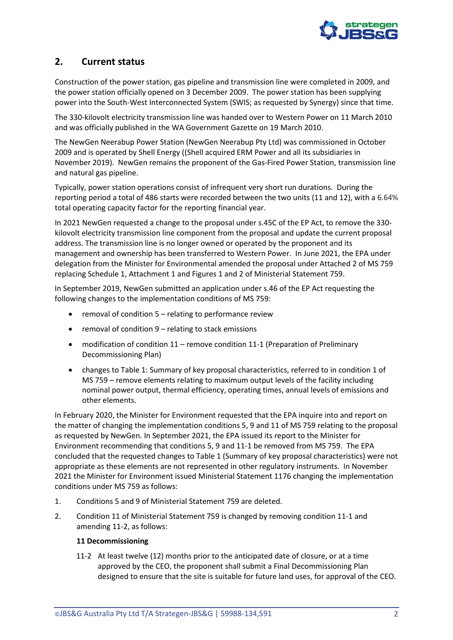

# <span id="page-3-0"></span>**2. Current status**

Construction of the power station, gas pipeline and transmission line were completed in 2009, and the power station officially opened on 3 December 2009. The power station has been supplying power into the South-West Interconnected System (SWIS; as requested by Synergy) since that time.

The 330-kilovolt electricity transmission line was handed over to Western Power on 11 March 2010 and was officially published in the WA Government Gazette on 19 March 2010.

The NewGen Neerabup Power Station (NewGen Neerabup Pty Ltd) was commissioned in October 2009 and is operated by Shell Energy ((Shell acquired ERM Power and all its subsidiaries in November 2019). NewGen remains the proponent of the Gas-Fired Power Station, transmission line and natural gas pipeline.

Typically, power station operations consist of infrequent very short run durations. During the reporting period a total of 486 starts were recorded between the two units (11 and 12), with a 6.64% total operating capacity factor for the reporting financial year.

In 2021 NewGen requested a change to the proposal under s.45C of the EP Act, to remove the 330 kilovolt electricity transmission line component from the proposal and update the current proposal address. The transmission line is no longer owned or operated by the proponent and its management and ownership has been transferred to Western Power. In June 2021, the EPA under delegation from the Minister for Environmental amended the proposal under Attached 2 of MS 759 replacing Schedule 1, Attachment 1 and Figures 1 and 2 of Ministerial Statement 759.

In September 2019, NewGen submitted an application under s.46 of the EP Act requesting the following changes to the implementation conditions of MS 759:

- removal of condition 5 relating to performance review
- removal of condition 9 relating to stack emissions
- modification of condition 11 remove condition 11-1 (Preparation of Preliminary Decommissioning Plan)
- changes to Table 1: Summary of key proposal characteristics, referred to in condition 1 of MS 759 – remove elements relating to maximum output levels of the facility including nominal power output, thermal efficiency, operating times, annual levels of emissions and other elements.

In February 2020, the Minister for Environment requested that the EPA inquire into and report on the matter of changing the implementation conditions 5, 9 and 11 of MS 759 relating to the proposal as requested by NewGen. In September 2021, the EPA issued its report to the Minister for Environment recommending that conditions 5, 9 and 11-1 be removed from MS 759. The EPA concluded that the requested changes to Table 1 (Summary of key proposal characteristics) were not appropriate as these elements are not represented in other regulatory instruments. In November 2021 the Minister for Environment issued Ministerial Statement 1176 changing the implementation conditions under MS 759 as follows:

- 1. Conditions 5 and 9 of Ministerial Statement 759 are deleted.
- 2. Condition 11 of Ministerial Statement 759 is changed by removing condition 11-1 and amending 11-2, as follows:

### **11 Decommissioning**

11-2 At least twelve (12) months prior to the anticipated date of closure, or at a time approved by the CEO, the proponent shall submit a Final Decommissioning Plan designed to ensure that the site is suitable for future land uses, for approval of the CEO.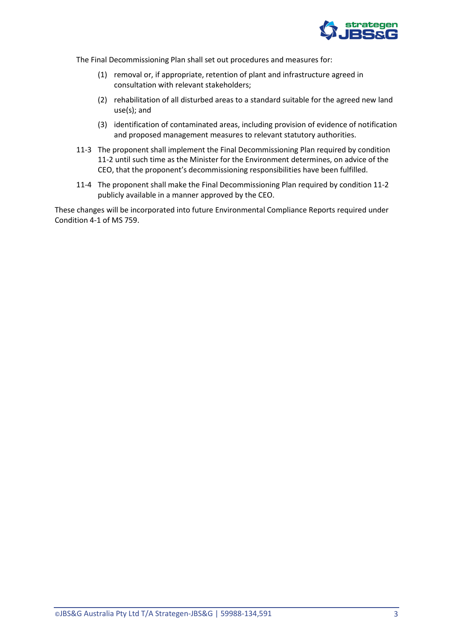

The Final Decommissioning Plan shall set out procedures and measures for:

- (1) removal or, if appropriate, retention of plant and infrastructure agreed in consultation with relevant stakeholders;
- (2) rehabilitation of all disturbed areas to a standard suitable for the agreed new land use(s); and
- (3) identification of contaminated areas, including provision of evidence of notification and proposed management measures to relevant statutory authorities.
- 11-3 The proponent shall implement the Final Decommissioning Plan required by condition 11-2 until such time as the Minister for the Environment determines, on advice of the CEO, that the proponent's decommissioning responsibilities have been fulfilled.
- 11-4 The proponent shall make the Final Decommissioning Plan required by condition 11-2 publicly available in a manner approved by the CEO.

These changes will be incorporated into future Environmental Compliance Reports required under Condition 4-1 of MS 759.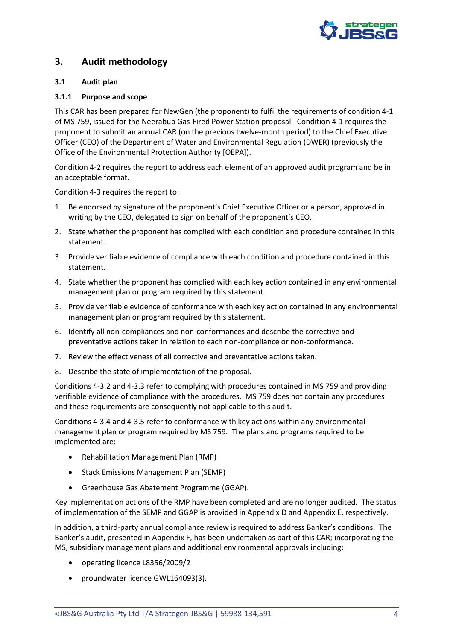

# <span id="page-5-0"></span>**3. Audit methodology**

## <span id="page-5-1"></span>**3.1 Audit plan**

## <span id="page-5-2"></span>**3.1.1 Purpose and scope**

This CAR has been prepared for NewGen (the proponent) to fulfil the requirements of condition 4-1 of MS 759, issued for the Neerabup Gas-Fired Power Station proposal. Condition 4-1 requires the proponent to submit an annual CAR (on the previous twelve-month period) to the Chief Executive Officer (CEO) of the Department of Water and Environmental Regulation (DWER) (previously the Office of the Environmental Protection Authority [OEPA]).

Condition 4-2 requires the report to address each element of an approved audit program and be in an acceptable format.

Condition 4-3 requires the report to:

- 1. Be endorsed by signature of the proponent's Chief Executive Officer or a person, approved in writing by the CEO, delegated to sign on behalf of the proponent's CEO.
- 2. State whether the proponent has complied with each condition and procedure contained in this statement.
- 3. Provide verifiable evidence of compliance with each condition and procedure contained in this statement.
- 4. State whether the proponent has complied with each key action contained in any environmental management plan or program required by this statement.
- 5. Provide verifiable evidence of conformance with each key action contained in any environmental management plan or program required by this statement.
- 6. Identify all non-compliances and non-conformances and describe the corrective and preventative actions taken in relation to each non-compliance or non-conformance.
- 7. Review the effectiveness of all corrective and preventative actions taken.
- 8. Describe the state of implementation of the proposal.

Conditions 4-3.2 and 4-3.3 refer to complying with procedures contained in MS 759 and providing verifiable evidence of compliance with the procedures. MS 759 does not contain any procedures and these requirements are consequently not applicable to this audit.

Conditions 4-3.4 and 4-3.5 refer to conformance with key actions within any environmental management plan or program required by MS 759. The plans and programs required to be implemented are:

- Rehabilitation Management Plan (RMP)
- Stack Emissions Management Plan (SEMP)
- Greenhouse Gas Abatement Programme (GGAP).

Key implementation actions of the RMP have been completed and are no longer audited. The status of implementation of the SEMP and GGAP is provided in [Appendix D](#page-25-0) an[d Appendix E,](#page-28-0) respectively.

In addition, a third-party annual compliance review is required to address Banker's conditions. The Banker's audit, presented in [Appendix F,](#page-31-0) has been undertaken as part of this CAR; incorporating the MS, subsidiary management plans and additional environmental approvals including:

- operating licence L8356/2009/2
- groundwater licence GWL164093(3).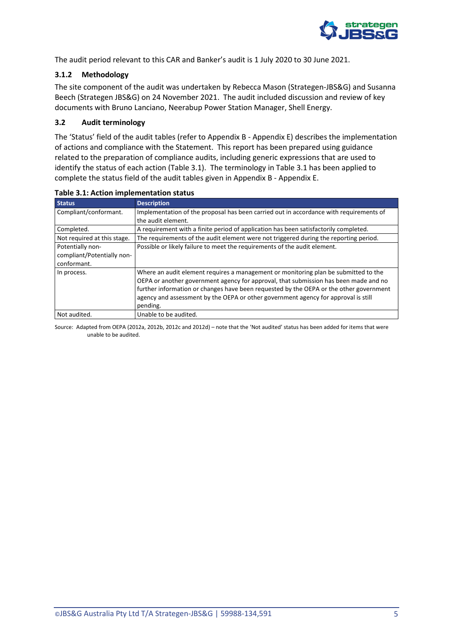

The audit period relevant to this CAR and Banker's audit is 1 July 2020 to 30 June 2021.

## <span id="page-6-0"></span>**3.1.2 Methodology**

The site component of the audit was undertaken by Rebecca Mason (Strategen-JBS&G) and Susanna Beech (Strategen JBS&G) on 24 November 2021. The audit included discussion and review of key documents with Bruno Lanciano, Neerabup Power Station Manager, Shell Energy.

## <span id="page-6-1"></span>**3.2 Audit terminology**

The 'Status' field of the audit tables (refer to [Appendix B](#page-13-0) - [Appendix E\)](#page-28-0) describes the implementation of actions and compliance with the Statement. This report has been prepared using guidance related to the preparation of compliance audits, including generic expressions that are used to identify the status of each action [\(Table 3.1\)](#page-6-2). The terminology in [Table 3.1](#page-6-2) has been applied to complete the status field of the audit tables given in [Appendix B](#page-13-0) - [Appendix E.](#page-28-0)

| <b>Status</b>               | <b>Description</b>                                                                                                                                                                                                                                                                                                                                          |
|-----------------------------|-------------------------------------------------------------------------------------------------------------------------------------------------------------------------------------------------------------------------------------------------------------------------------------------------------------------------------------------------------------|
| Compliant/conformant.       | Implementation of the proposal has been carried out in accordance with requirements of                                                                                                                                                                                                                                                                      |
|                             | the audit element.                                                                                                                                                                                                                                                                                                                                          |
| Completed.                  | A requirement with a finite period of application has been satisfactorily completed.                                                                                                                                                                                                                                                                        |
| Not required at this stage. | The requirements of the audit element were not triggered during the reporting period.                                                                                                                                                                                                                                                                       |
| Potentially non-            | Possible or likely failure to meet the requirements of the audit element.                                                                                                                                                                                                                                                                                   |
| compliant/Potentially non-  |                                                                                                                                                                                                                                                                                                                                                             |
| conformant.                 |                                                                                                                                                                                                                                                                                                                                                             |
| In process.                 | Where an audit element requires a management or monitoring plan be submitted to the<br>OEPA or another government agency for approval, that submission has been made and no<br>further information or changes have been requested by the OEPA or the other government<br>agency and assessment by the OEPA or other government agency for approval is still |
|                             | pending.                                                                                                                                                                                                                                                                                                                                                    |
| Not audited.                | Unable to be audited.                                                                                                                                                                                                                                                                                                                                       |

#### <span id="page-6-2"></span>**Table 3.1: Action implementation status**

Source: Adapted from OEPA (2012a, 2012b, 2012c and 2012d) – note that the 'Not audited' status has been added for items that were unable to be audited.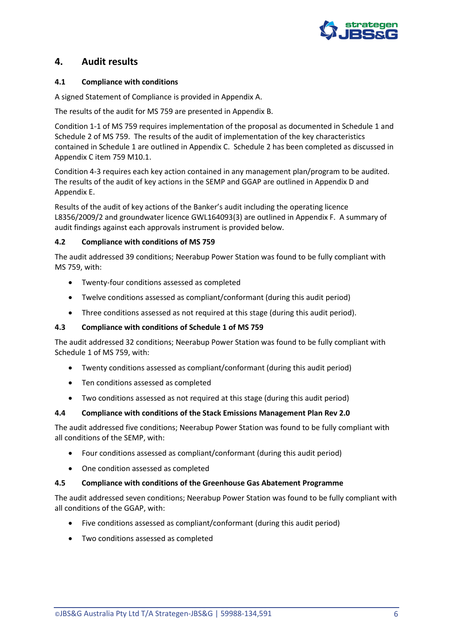

# <span id="page-7-0"></span>**4. Audit results**

## <span id="page-7-1"></span>**4.1 Compliance with conditions**

A signed Statement of Compliance is provided in [Appendix A.](#page-12-0)

The results of the audit for MS 759 are presented i[n Appendix B.](#page-13-0)

Condition 1-1 of MS 759 requires implementation of the proposal as documented in Schedule 1 and Schedule 2 of MS 759. The results of the audit of implementation of the key characteristics contained in Schedule 1 are outlined in [Appendix C.](#page-22-0) Schedule 2 has been completed as discussed in [Appendix C](#page-22-0) item 759 M10.1.

Condition 4-3 requires each key action contained in any management plan/program to be audited. The results of the audit of key actions in the SEMP and GGAP are outlined in [Appendix D](#page-25-0) and [Appendix E.](#page-28-0)

Results of the audit of key actions of the Banker's audit including the operating licence L8356/2009/2 and groundwater licence GWL164093(3) are outlined i[n Appendix F.](#page-31-0) A summary of audit findings against each approvals instrument is provided below.

## <span id="page-7-2"></span>**4.2 Compliance with conditions of MS 759**

The audit addressed 39 conditions; Neerabup Power Station was found to be fully compliant with MS 759, with:

- Twenty-four conditions assessed as completed
- Twelve conditions assessed as compliant/conformant (during this audit period)
- Three conditions assessed as not required at this stage (during this audit period).

### <span id="page-7-3"></span>**4.3 Compliance with conditions of Schedule 1 of MS 759**

The audit addressed 32 conditions; Neerabup Power Station was found to be fully compliant with Schedule 1 of MS 759, with:

- Twenty conditions assessed as compliant/conformant (during this audit period)
- Ten conditions assessed as completed
- Two conditions assessed as not required at this stage (during this audit period)

### <span id="page-7-4"></span>**4.4 Compliance with conditions of the Stack Emissions Management Plan Rev 2.0**

The audit addressed five conditions; Neerabup Power Station was found to be fully compliant with all conditions of the SEMP, with:

- Four conditions assessed as compliant/conformant (during this audit period)
- One condition assessed as completed

### <span id="page-7-5"></span>**4.5 Compliance with conditions of the Greenhouse Gas Abatement Programme**

The audit addressed seven conditions; Neerabup Power Station was found to be fully compliant with all conditions of the GGAP, with:

- Five conditions assessed as compliant/conformant (during this audit period)
- Two conditions assessed as completed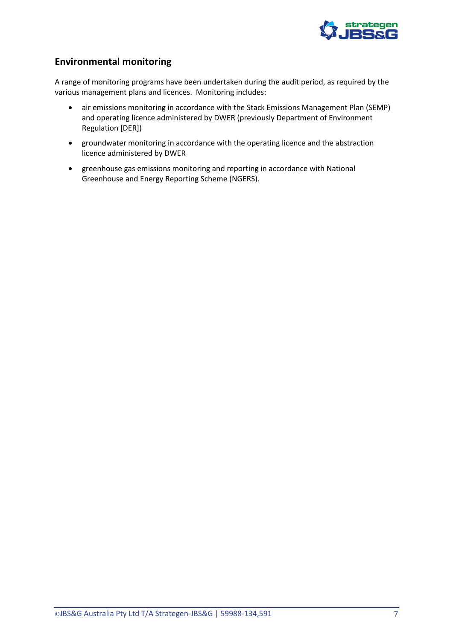

# <span id="page-8-0"></span>**Environmental monitoring**

A range of monitoring programs have been undertaken during the audit period, as required by the various management plans and licences. Monitoring includes:

- air emissions monitoring in accordance with the Stack Emissions Management Plan (SEMP) and operating licence administered by DWER (previously Department of Environment Regulation [DER])
- groundwater monitoring in accordance with the operating licence and the abstraction licence administered by DWER
- greenhouse gas emissions monitoring and reporting in accordance with National Greenhouse and Energy Reporting Scheme (NGERS).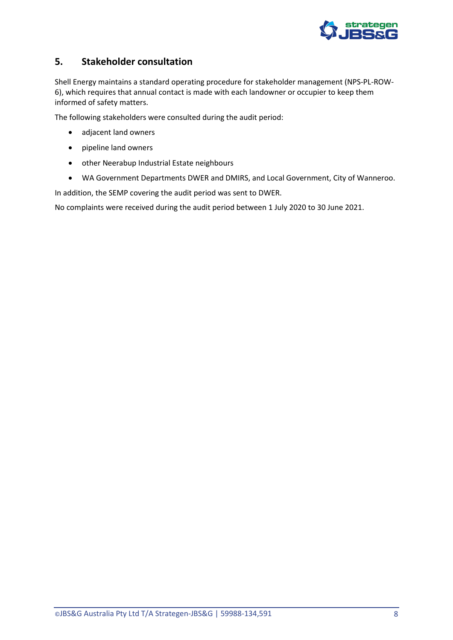

# <span id="page-9-0"></span>**5. Stakeholder consultation**

Shell Energy maintains a standard operating procedure for stakeholder management (NPS-PL-ROW-6), which requires that annual contact is made with each landowner or occupier to keep them informed of safety matters.

The following stakeholders were consulted during the audit period:

- adjacent land owners
- pipeline land owners
- other Neerabup Industrial Estate neighbours
- WA Government Departments DWER and DMIRS, and Local Government, City of Wanneroo.

In addition, the SEMP covering the audit period was sent to DWER.

No complaints were received during the audit period between 1 July 2020 to 30 June 2021.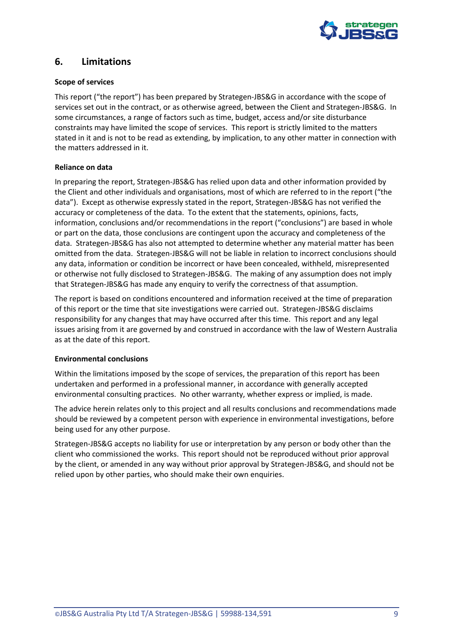

## <span id="page-10-0"></span>**6. Limitations**

### **Scope of services**

This report ("the report") has been prepared by Strategen-JBS&G in accordance with the scope of services set out in the contract, or as otherwise agreed, between the Client and Strategen-JBS&G. In some circumstances, a range of factors such as time, budget, access and/or site disturbance constraints may have limited the scope of services. This report is strictly limited to the matters stated in it and is not to be read as extending, by implication, to any other matter in connection with the matters addressed in it.

## **Reliance on data**

In preparing the report, Strategen-JBS&G has relied upon data and other information provided by the Client and other individuals and organisations, most of which are referred to in the report ("the data"). Except as otherwise expressly stated in the report, Strategen-JBS&G has not verified the accuracy or completeness of the data. To the extent that the statements, opinions, facts, information, conclusions and/or recommendations in the report ("conclusions") are based in whole or part on the data, those conclusions are contingent upon the accuracy and completeness of the data. Strategen-JBS&G has also not attempted to determine whether any material matter has been omitted from the data. Strategen-JBS&G will not be liable in relation to incorrect conclusions should any data, information or condition be incorrect or have been concealed, withheld, misrepresented or otherwise not fully disclosed to Strategen-JBS&G. The making of any assumption does not imply that Strategen-JBS&G has made any enquiry to verify the correctness of that assumption.

The report is based on conditions encountered and information received at the time of preparation of this report or the time that site investigations were carried out. Strategen-JBS&G disclaims responsibility for any changes that may have occurred after this time. This report and any legal issues arising from it are governed by and construed in accordance with the law of Western Australia as at the date of this report.

### **Environmental conclusions**

Within the limitations imposed by the scope of services, the preparation of this report has been undertaken and performed in a professional manner, in accordance with generally accepted environmental consulting practices. No other warranty, whether express or implied, is made.

The advice herein relates only to this project and all results conclusions and recommendations made should be reviewed by a competent person with experience in environmental investigations, before being used for any other purpose.

Strategen-JBS&G accepts no liability for use or interpretation by any person or body other than the client who commissioned the works. This report should not be reproduced without prior approval by the client, or amended in any way without prior approval by Strategen-JBS&G, and should not be relied upon by other parties, who should make their own enquiries.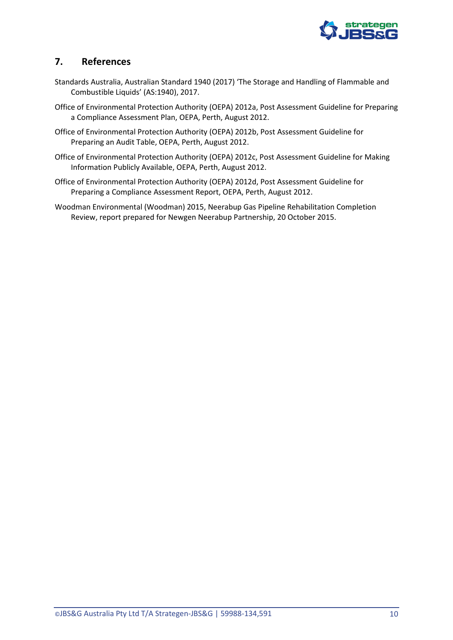

# <span id="page-11-0"></span>**7. References**

- Standards Australia, Australian Standard 1940 (2017) 'The Storage and Handling of Flammable and Combustible Liquids' (AS:1940), 2017.
- Office of Environmental Protection Authority (OEPA) 2012a, Post Assessment Guideline for Preparing a Compliance Assessment Plan, OEPA, Perth, August 2012.
- Office of Environmental Protection Authority (OEPA) 2012b, Post Assessment Guideline for Preparing an Audit Table, OEPA, Perth, August 2012.
- Office of Environmental Protection Authority (OEPA) 2012c, Post Assessment Guideline for Making Information Publicly Available, OEPA, Perth, August 2012.
- Office of Environmental Protection Authority (OEPA) 2012d, Post Assessment Guideline for Preparing a Compliance Assessment Report, OEPA, Perth, August 2012.
- Woodman Environmental (Woodman) 2015, Neerabup Gas Pipeline Rehabilitation Completion Review, report prepared for Newgen Neerabup Partnership, 20 October 2015.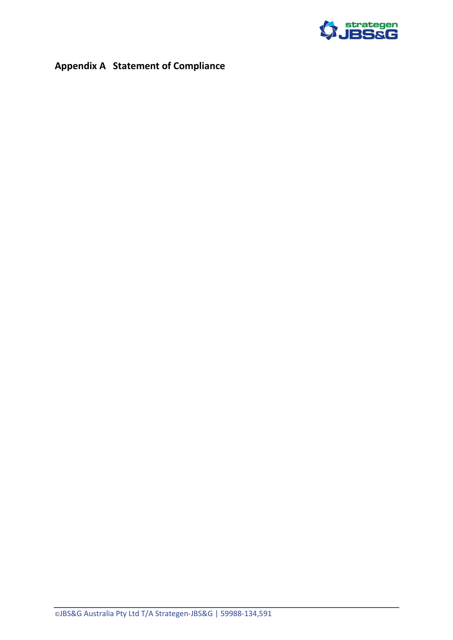

# <span id="page-12-0"></span>**Appendix A Statement of Compliance**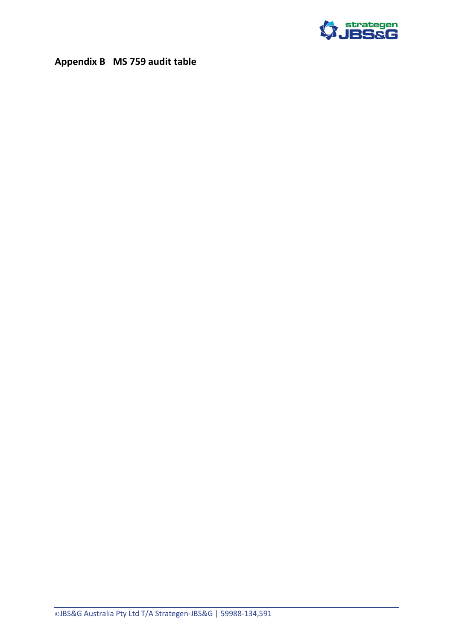

# <span id="page-13-0"></span>**Appendix B MS 759 audit table**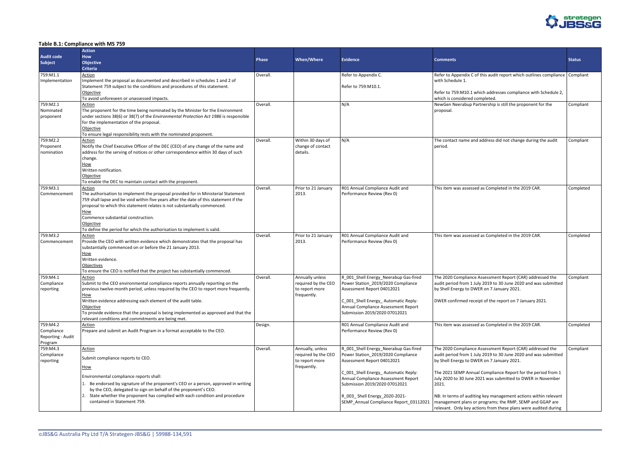

#### <span id="page-14-0"></span>**Table B.1: Compliance with MS 759**

|                                     | <b>Action</b>                                                                                                                                                          |              |                               |                                                                            |                                                                                                                             |               |
|-------------------------------------|------------------------------------------------------------------------------------------------------------------------------------------------------------------------|--------------|-------------------------------|----------------------------------------------------------------------------|-----------------------------------------------------------------------------------------------------------------------------|---------------|
| <b>Audit code</b><br><b>Subject</b> | <b>How</b><br>Objective                                                                                                                                                | <b>Phase</b> | <b>When/Where</b>             | <b>Evidence</b>                                                            | <b>Comments</b>                                                                                                             | <b>Status</b> |
| 759:M1.1                            | <b>Criteria</b><br>Action                                                                                                                                              | Overall.     |                               | Refer to Appendix C.                                                       | Refer to Appendix C of this audit report which outlines compliance Compliant                                                |               |
| Implementation                      | Implement the proposal as documented and described in schedules 1 and 2 of                                                                                             |              |                               |                                                                            | with Schedule 1.                                                                                                            |               |
|                                     | Statement 759 subject to the conditions and procedures of this statement.                                                                                              |              |                               | Refer to 759:M10.1.                                                        |                                                                                                                             |               |
|                                     | Objective                                                                                                                                                              |              |                               |                                                                            | Refer to 759:M10.1 which addresses compliance with Schedule 2,                                                              |               |
|                                     | To avoid unforeseen or unassessed impacts.                                                                                                                             |              |                               |                                                                            | which is considered completed.                                                                                              |               |
| 759:M2.1<br>Nominated               | <b>Action</b><br>The proponent for the time being nominated by the Minister for the Environment                                                                        | Overall.     |                               | N/A                                                                        | NewGen Neerabup Partnership is still the proponent for the<br>proposal.                                                     | Compliant     |
| proponent                           | under sections 38(6) or 38(7) of the <i>Environmental Protection Act 1986</i> is responsible                                                                           |              |                               |                                                                            |                                                                                                                             |               |
|                                     | for the implementation of the proposal.                                                                                                                                |              |                               |                                                                            |                                                                                                                             |               |
|                                     | Objective                                                                                                                                                              |              |                               |                                                                            |                                                                                                                             |               |
|                                     | To ensure legal responsibility rests with the nominated proponent.                                                                                                     |              |                               |                                                                            |                                                                                                                             |               |
| 759:M2.2                            | Action                                                                                                                                                                 | Overall.     | Within 30 days of             | N/A                                                                        | The contact name and address did not change during the audit                                                                | Compliant     |
| Proponent<br>nomination             | Notify the Chief Executive Officer of the DEC (CEO) of any change of the name and<br>address for the serving of notices or other correspondence within 30 days of such |              | change of contact<br>details. |                                                                            | period.                                                                                                                     |               |
|                                     | change.                                                                                                                                                                |              |                               |                                                                            |                                                                                                                             |               |
|                                     | How                                                                                                                                                                    |              |                               |                                                                            |                                                                                                                             |               |
|                                     | Written notification.                                                                                                                                                  |              |                               |                                                                            |                                                                                                                             |               |
|                                     | Objective                                                                                                                                                              |              |                               |                                                                            |                                                                                                                             |               |
|                                     | To enable the DEC to maintain contact with the proponent.                                                                                                              |              |                               |                                                                            |                                                                                                                             |               |
| 759:M3.1<br>Commencement            | <b>Action</b><br>The authorisation to implement the proposal provided for in Ministerial Statement                                                                     | Overall.     | Prior to 21 January<br>2013.  | R01 Annual Compliance Audit and<br>Performance Review (Rev 0)              | This item was assessed as Completed in the 2019 CAR.                                                                        | Completed     |
|                                     | 759 shall lapse and be void within five years after the date of this statement if the                                                                                  |              |                               |                                                                            |                                                                                                                             |               |
|                                     | proposal to which this statement relates is not substantially commenced.                                                                                               |              |                               |                                                                            |                                                                                                                             |               |
|                                     | <u>How</u>                                                                                                                                                             |              |                               |                                                                            |                                                                                                                             |               |
|                                     | Commence substantial construction.                                                                                                                                     |              |                               |                                                                            |                                                                                                                             |               |
|                                     | Objective<br>To define the period for which the authorisation to implement is valid.                                                                                   |              |                               |                                                                            |                                                                                                                             |               |
| 759:M3.2                            | Action                                                                                                                                                                 | Overall.     | Prior to 21 January           | R01 Annual Compliance Audit and                                            | This item was assessed as Completed in the 2019 CAR.                                                                        | Completed     |
| Commencement                        | Provide the CEO with written evidence which demonstrates that the proposal has                                                                                         |              | 2013.                         | Performance Review (Rev 0)                                                 |                                                                                                                             |               |
|                                     | substantially commenced on or before the 21 January 2013.                                                                                                              |              |                               |                                                                            |                                                                                                                             |               |
|                                     | <u>How</u>                                                                                                                                                             |              |                               |                                                                            |                                                                                                                             |               |
|                                     | Written evidence.<br>Objectives                                                                                                                                        |              |                               |                                                                            |                                                                                                                             |               |
|                                     | To ensure the CEO is notified that the project has substantially commenced.                                                                                            |              |                               |                                                                            |                                                                                                                             |               |
| 759:M4.1                            | Action                                                                                                                                                                 | Overall.     | Annually unless               | R_001_Shell Energy_Neerabup Gas-fired                                      | The 2020 Compliance Assessment Report (CAR) addressed the                                                                   | Compliant     |
| Compliance                          | Submit to the CEO environmental compliance reports annually reporting on the                                                                                           |              | required by the CEO           | Power Station_2019/2020 Compliance                                         | audit period from 1 July 2019 to 30 June 2020 and was submitted                                                             |               |
| reporting                           | previous twelve-month period, unless required by the CEO to report more frequently.                                                                                    |              | to report more                | Assessment Report 04012021                                                 | by Shell Energy to DWER on 7 January 2021.                                                                                  |               |
|                                     | How<br>Written evidence addressing each element of the audit table.                                                                                                    |              | frequently.                   | C_001_Shell Energy_Automatic Reply:                                        | DWER confirmed receipt of the report on 7 January 2021.                                                                     |               |
|                                     | Objective                                                                                                                                                              |              |                               | Annual Compliance Assessment Report                                        |                                                                                                                             |               |
|                                     | To provide evidence that the proposal is being implemented as approved and that the                                                                                    |              |                               | Submission 2019/2020 07012021                                              |                                                                                                                             |               |
|                                     | relevant conditions and commitments are being met.                                                                                                                     |              |                               |                                                                            |                                                                                                                             |               |
| 759:M4.2                            | <b>Action</b>                                                                                                                                                          | Design.      |                               | R01 Annual Compliance Audit and                                            | This item was assessed as Completed in the 2019 CAR.                                                                        | Completed     |
| Compliance                          | Prepare and submit an Audit Program in a format acceptable to the CEO.                                                                                                 |              |                               | Performance Review (Rev 0)                                                 |                                                                                                                             |               |
| Reporting - Audit<br>Program        |                                                                                                                                                                        |              |                               |                                                                            |                                                                                                                             |               |
| 759:M4.3                            | Action                                                                                                                                                                 | Overall.     | Annually, unless              | R 001 Shell Energy Neerabup Gas-fired                                      | The 2020 Compliance Assessment Report (CAR) addressed the                                                                   | Compliant     |
| Compliance                          | Submit compliance reports to CEO.                                                                                                                                      |              | required by the CEO           | Power Station_2019/2020 Compliance                                         | audit period from 1 July 2019 to 30 June 2020 and was submitted                                                             |               |
| reporting                           |                                                                                                                                                                        |              | to report more                | Assessment Report 04012021                                                 | by Shell Energy to DWER on 7 January 2021.                                                                                  |               |
|                                     | How                                                                                                                                                                    |              | frequently.                   |                                                                            |                                                                                                                             |               |
|                                     | Environmental compliance reports shall:                                                                                                                                |              |                               | C_001_Shell Energy_Automatic Reply:<br>Annual Compliance Assessment Report | The 2021 SEMP Annual Compliance Report for the period from 1<br>July 2020 to 30 June 2021 was submitted to DWER in November |               |
|                                     | 1. Be endorsed by signature of the proponent's CEO or a person, approved in writing                                                                                    |              |                               | Submission 2019/2020 07012021                                              | 2021.                                                                                                                       |               |
|                                     | by the CEO, delegated to sign on behalf of the proponent's CEO.                                                                                                        |              |                               |                                                                            |                                                                                                                             |               |
|                                     | 2. State whether the proponent has complied with each condition and procedure                                                                                          |              |                               | R_003_Shell Energy_2020-2021-                                              | NB: In terms of auditing key management actions within relevant                                                             |               |
|                                     | contained in Statement 759.                                                                                                                                            |              |                               | SEMP_Annual Compliance Report_03112021                                     | management plans or programs; the RMP, SEMP and GGAP are                                                                    |               |
|                                     |                                                                                                                                                                        |              |                               |                                                                            | relevant. Only key actions from these plans were audited during                                                             |               |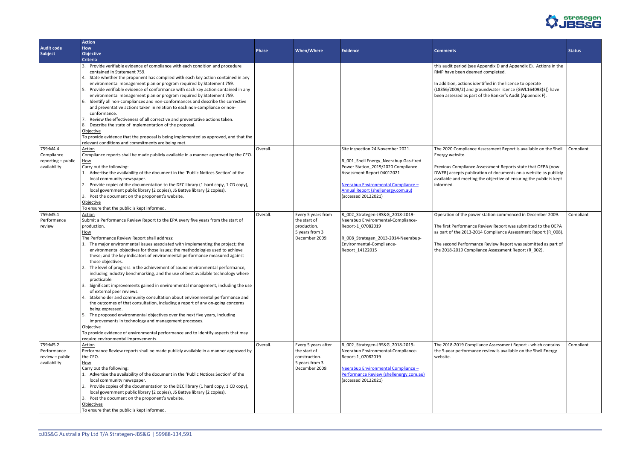

|                                                            | <b>Action</b>                                                                                                                                                                                                                                                                                                                                                                                                                                                                                                                                                                                                                                                                                                                                                                                                                                                                                                                                                                                                                                                                                                                                                                                                                  |              |                                                                                          |                                                                                                                                                                                                     |                                                                                                                                                                                                                                                                                                                                                                                    |               |
|------------------------------------------------------------|--------------------------------------------------------------------------------------------------------------------------------------------------------------------------------------------------------------------------------------------------------------------------------------------------------------------------------------------------------------------------------------------------------------------------------------------------------------------------------------------------------------------------------------------------------------------------------------------------------------------------------------------------------------------------------------------------------------------------------------------------------------------------------------------------------------------------------------------------------------------------------------------------------------------------------------------------------------------------------------------------------------------------------------------------------------------------------------------------------------------------------------------------------------------------------------------------------------------------------|--------------|------------------------------------------------------------------------------------------|-----------------------------------------------------------------------------------------------------------------------------------------------------------------------------------------------------|------------------------------------------------------------------------------------------------------------------------------------------------------------------------------------------------------------------------------------------------------------------------------------------------------------------------------------------------------------------------------------|---------------|
| <b>Audit code</b>                                          | <b>How</b>                                                                                                                                                                                                                                                                                                                                                                                                                                                                                                                                                                                                                                                                                                                                                                                                                                                                                                                                                                                                                                                                                                                                                                                                                     | <b>Phase</b> | <b>When/Where</b>                                                                        | <b>Evidence</b>                                                                                                                                                                                     |                                                                                                                                                                                                                                                                                                                                                                                    |               |
| Subject                                                    | <b>Objective</b>                                                                                                                                                                                                                                                                                                                                                                                                                                                                                                                                                                                                                                                                                                                                                                                                                                                                                                                                                                                                                                                                                                                                                                                                               |              |                                                                                          |                                                                                                                                                                                                     | <b>Comments</b>                                                                                                                                                                                                                                                                                                                                                                    | <b>Status</b> |
|                                                            | <b>Criteria</b>                                                                                                                                                                                                                                                                                                                                                                                                                                                                                                                                                                                                                                                                                                                                                                                                                                                                                                                                                                                                                                                                                                                                                                                                                |              |                                                                                          |                                                                                                                                                                                                     |                                                                                                                                                                                                                                                                                                                                                                                    |               |
| 759:M4.4<br>Compliance                                     | 3. Provide verifiable evidence of compliance with each condition and procedure<br>contained in Statement 759.<br>4. State whether the proponent has complied with each key action contained in any<br>environmental management plan or program required by Statement 759.<br>5. Provide verifiable evidence of conformance with each key action contained in any<br>environmental management plan or program required by Statement 759.<br>6. Identify all non-compliances and non-conformances and describe the corrective<br>and preventative actions taken in relation to each non-compliance or non-<br>conformance.<br>7. Review the effectiveness of all corrective and preventative actions taken.<br>8. Describe the state of implementation of the proposal.<br>Objective<br>To provide evidence that the proposal is being implemented as approved, and that the<br>relevant conditions and commitments are being met.<br>Action<br>Compliance reports shall be made publicly available in a manner approved by the CEO.                                                                                                                                                                                             | Overall.     |                                                                                          | Site inspection 24 November 2021.<br>R_001_Shell Energy_Neerabup Gas-fired                                                                                                                          | this audit period (see Appendix D and Appendix E). Actions in the<br>RMP have been deemed completed.<br>In addition, actions identified in the licence to operate<br>(L8356/2009/2) and groundwater licence (GWL164093(3)) have<br>been assessed as part of the Banker's Audit (Appendix F).<br>The 2020 Compliance Assessment Report is available on the Shell<br>Energy website. | Comp          |
| reporting - public<br>availability                         | <u>How</u><br>Carry out the following:<br>1. Advertise the availability of the document in the 'Public Notices Section' of the<br>local community newspaper.<br>2. Provide copies of the documentation to the DEC library (1 hard copy, 1 CD copy),<br>local government public library (2 copies), JS Battye library (2 copies).<br>3. Post the document on the proponent's website.<br>Objective<br>To ensure that the public is kept informed.                                                                                                                                                                                                                                                                                                                                                                                                                                                                                                                                                                                                                                                                                                                                                                               |              |                                                                                          | Power Station_2019/2020 Compliance<br>Assessment Report 04012021<br>Neerabup Environmental Compliance -<br><b>Annual Report (shellenergy.com.au)</b><br>(accessed 20122021)                         | Previous Compliance Assessment Reports state that OEPA (now<br>DWER) accepts publication of documents on a website as publicly<br>available and meeting the objective of ensuring the public is kept<br>informed.                                                                                                                                                                  |               |
| 759:M5.1<br>Performance<br>review                          | Action<br>Submit a Performance Review Report to the EPA every five years from the start of<br>production.<br>How<br>The Performance Review Report shall address:<br>1. The major environmental issues associated with implementing the project; the<br>environmental objectives for those issues; the methodologies used to achieve<br>these; and the key indicators of environmental performance measured against<br>those objectives.<br>2. The level of progress in the achievement of sound environmental performance,<br>including industry benchmarking, and the use of best available technology where<br>practicable.<br>3. Significant improvements gained in environmental management, including the use<br>of external peer reviews.<br>4. Stakeholder and community consultation about environmental performance and<br>the outcomes of that consultation, including a report of any on-going concerns<br>being expressed.<br>5. The proposed environmental objectives over the next five years, including<br>improvements in technology and management processes.<br><b>Objective</b><br>To provide evidence of environmental performance and to identify aspects that may<br>require environmental improvements. | Overall.     | Every 5 years from<br>the start of<br>production.<br>5 years from 3<br>December 2009.    | R_002_Strategen-JBS&G_2018-2019-<br>Neerabup Environmental-Compliance-<br>Report-1_07082019<br>R_008_Strategen_2013-2014-Neerabup-<br>Environmental-Compliance-<br>Report_14122015                  | Operation of the power station commenced in December 2009.<br>The first Performance Review Report was submitted to the OEPA<br>as part of the 2013-2014 Compliance Assessment Report (R_008).<br>The second Performance Review Report was submitted as part of<br>the 2018-2019 Compliance Assessment Report (R 002).                                                              | Comp          |
| 759:M5.2<br>Performance<br>review - public<br>availability | <b>Action</b><br>Performance Review reports shall be made publicly available in a manner approved by<br>the CEO.<br>How<br>Carry out the following:<br>1. Advertise the availability of the document in the 'Public Notices Section' of the<br>local community newspaper.<br>2. Provide copies of the documentation to the DEC library (1 hard copy, 1 CD copy),<br>local government public library (2 copies), JS Battye library (2 copies).<br>3. Post the document on the proponent's website.<br><b>Objectives</b><br>To ensure that the public is kept informed.                                                                                                                                                                                                                                                                                                                                                                                                                                                                                                                                                                                                                                                          | Overall.     | Every 5 years after<br>the start of<br>construction.<br>5 years from 3<br>December 2009. | R_002_Strategen-JBS&G_2018-2019-<br>Neerabup Environmental-Compliance-<br>Report-1 07082019<br>Neerabup Environmental Compliance-<br>Performance Review (shellenergy.com.au)<br>(accessed 20122021) | The 2018-2019 Compliance Assessment Report - which contains<br>the 5-year performance review is available on the Shell Energy<br>website.                                                                                                                                                                                                                                          | Comp          |

| <b>Comments</b>                                                                                                                                                                                                                                                                                                       | <b>Status</b> |
|-----------------------------------------------------------------------------------------------------------------------------------------------------------------------------------------------------------------------------------------------------------------------------------------------------------------------|---------------|
| this audit period (see Appendix D and Appendix E). Actions in the<br>RMP have been deemed completed.<br>In addition, actions identified in the licence to operate<br>(L8356/2009/2) and groundwater licence (GWL164093(3)) have<br>been assessed as part of the Banker's Audit (Appendix F).                          |               |
| The 2020 Compliance Assessment Report is available on the Shell<br>Energy website.<br>Previous Compliance Assessment Reports state that OEPA (now<br>DWER) accepts publication of documents on a website as publicly<br>available and meeting the objective of ensuring the public is kept<br>informed.               | Compliant     |
| Operation of the power station commenced in December 2009.<br>The first Performance Review Report was submitted to the OEPA<br>as part of the 2013-2014 Compliance Assessment Report (R_008).<br>The second Performance Review Report was submitted as part of<br>the 2018-2019 Compliance Assessment Report (R_002). | Compliant     |
| The 2018-2019 Compliance Assessment Report - which contains<br>the 5-year performance review is available on the Shell Energy<br>website.                                                                                                                                                                             | Compliant     |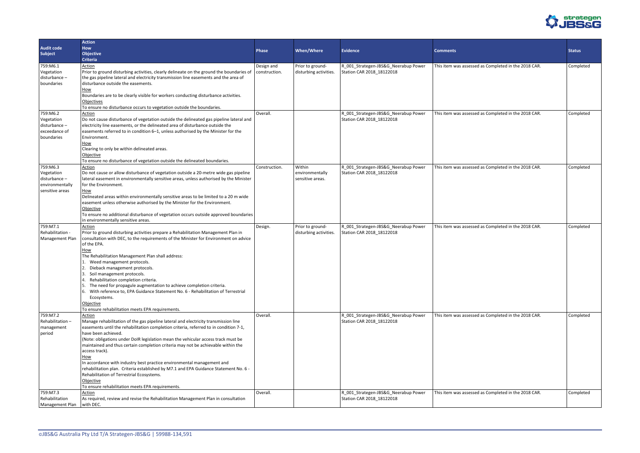

|                   | <b>Action</b>                                                                            |               |                        |                                      |                                                      |               |
|-------------------|------------------------------------------------------------------------------------------|---------------|------------------------|--------------------------------------|------------------------------------------------------|---------------|
| <b>Audit code</b> | How                                                                                      |               |                        |                                      |                                                      |               |
| <b>Subject</b>    | <b>Objective</b>                                                                         | <b>Phase</b>  | <b>When/Where</b>      | <b>Evidence</b>                      | <b>Comments</b>                                      | <b>Status</b> |
|                   | <b>Criteria</b>                                                                          |               |                        |                                      |                                                      |               |
| 759:M6.1          | Action                                                                                   | Design and    | Prior to ground-       | R_001_Strategen-JBS&G_Neerabup Power | This item was assessed as Completed in the 2018 CAR. | Completed     |
| Vegetation        | Prior to ground disturbing activities, clearly delineate on the ground the boundaries of | construction. | disturbing activities. | Station CAR 2018_18122018            |                                                      |               |
| disturbance-      | the gas pipeline lateral and electricity transmission line easements and the area of     |               |                        |                                      |                                                      |               |
| boundaries        | disturbance outside the easements.                                                       |               |                        |                                      |                                                      |               |
|                   | How                                                                                      |               |                        |                                      |                                                      |               |
|                   | Boundaries are to be clearly visible for workers conducting disturbance activities.      |               |                        |                                      |                                                      |               |
|                   | Objectives                                                                               |               |                        |                                      |                                                      |               |
|                   | To ensure no disturbance occurs to vegetation outside the boundaries.                    |               |                        |                                      |                                                      |               |
| 759:M6.2          | <b>Action</b>                                                                            | Overall.      |                        | R_001_Strategen-JBS&G_Neerabup Power | This item was assessed as Completed in the 2018 CAR. | Completed     |
| Vegetation        | Do not cause disturbance of vegetation outside the delineated gas pipeline lateral and   |               |                        | Station CAR 2018_18122018            |                                                      |               |
| disturbance-      | electricity line easements, or the delineated area of disturbance outside the            |               |                        |                                      |                                                      |               |
| exceedance of     | easements referred to in condition 6-1, unless authorised by the Minister for the        |               |                        |                                      |                                                      |               |
| boundaries        | Environment.                                                                             |               |                        |                                      |                                                      |               |
|                   | How                                                                                      |               |                        |                                      |                                                      |               |
|                   | Clearing to only be within delineated areas.                                             |               |                        |                                      |                                                      |               |
|                   | Objective                                                                                |               |                        |                                      |                                                      |               |
|                   | To ensure no disturbance of vegetation outside the delineated boundaries.                |               |                        |                                      |                                                      |               |
| 759:M6.3          | Action                                                                                   | Construction. | Within                 | R_001_Strategen-JBS&G_Neerabup Power | This item was assessed as Completed in the 2018 CAR. | Completed     |
| Vegetation        | Do not cause or allow disturbance of vegetation outside a 20-metre wide gas pipeline     |               | environmentally        | Station CAR 2018 18122018            |                                                      |               |
| disturbance-      | lateral easement in environmentally sensitive areas, unless authorised by the Minister   |               | sensitive areas.       |                                      |                                                      |               |
| environmentally   | for the Environment.                                                                     |               |                        |                                      |                                                      |               |
| sensitive areas   | How                                                                                      |               |                        |                                      |                                                      |               |
|                   | Delineated areas within environmentally sensitive areas to be limited to a 20 m wide     |               |                        |                                      |                                                      |               |
|                   | easement unless otherwise authorised by the Minister for the Environment.                |               |                        |                                      |                                                      |               |
|                   | Objective                                                                                |               |                        |                                      |                                                      |               |
|                   | To ensure no additional disturbance of vegetation occurs outside approved boundaries     |               |                        |                                      |                                                      |               |
|                   | in environmentally sensitive areas.                                                      |               |                        |                                      |                                                      |               |
| 759:M7.1          | Action                                                                                   | Design.       | Prior to ground-       | R_001_Strategen-JBS&G_Neerabup Power | This item was assessed as Completed in the 2018 CAR. | Completed     |
| Rehabilitation -  | Prior to ground disturbing activities prepare a Rehabilitation Management Plan in        |               | disturbing activities. | Station CAR 2018_18122018            |                                                      |               |
| Management Plan   | consultation with DEC, to the requirements of the Minister for Environment on advice     |               |                        |                                      |                                                      |               |
|                   | of the EPA.                                                                              |               |                        |                                      |                                                      |               |
|                   | How                                                                                      |               |                        |                                      |                                                      |               |
|                   | The Rehabilitation Management Plan shall address:                                        |               |                        |                                      |                                                      |               |
|                   | 1. Weed management protocols.                                                            |               |                        |                                      |                                                      |               |
|                   | Dieback management protocols.                                                            |               |                        |                                      |                                                      |               |
|                   | Soil management protocols.<br>Rehabilitation completion criteria.                        |               |                        |                                      |                                                      |               |
|                   | 5. The need for propagule augmentation to achieve completion criteria.                   |               |                        |                                      |                                                      |               |
|                   | 6. With reference to, EPA Guidance Statement No. 6 - Rehabilitation of Terrestrial       |               |                        |                                      |                                                      |               |
|                   | Ecosystems.                                                                              |               |                        |                                      |                                                      |               |
|                   | Objective                                                                                |               |                        |                                      |                                                      |               |
|                   | To ensure rehabilitation meets EPA requirements.                                         |               |                        |                                      |                                                      |               |
| 759:M7.2          | <b>Action</b>                                                                            | Overall.      |                        | R_001_Strategen-JBS&G_Neerabup Power | This item was assessed as Completed in the 2018 CAR. | Completed     |
| Rehabilitation-   | Manage rehabilitation of the gas pipeline lateral and electricity transmission line      |               |                        | Station CAR 2018_18122018            |                                                      |               |
| management        | easements until the rehabilitation completion criteria, referred to in condition 7-1,    |               |                        |                                      |                                                      |               |
| period            | have been achieved.                                                                      |               |                        |                                      |                                                      |               |
|                   | (Note: obligations under DoIR legislation mean the vehicular access track must be        |               |                        |                                      |                                                      |               |
|                   | maintained and thus certain completion criteria may not be achievable within the         |               |                        |                                      |                                                      |               |
|                   | access track).                                                                           |               |                        |                                      |                                                      |               |
|                   | How                                                                                      |               |                        |                                      |                                                      |               |
|                   | In accordance with industry best practice environmental management and                   |               |                        |                                      |                                                      |               |
|                   | rehabilitation plan. Criteria established by M7.1 and EPA Guidance Statement No. 6 -     |               |                        |                                      |                                                      |               |
|                   | Rehabilitation of Terrestrial Ecosystems.                                                |               |                        |                                      |                                                      |               |
|                   | Objective                                                                                |               |                        |                                      |                                                      |               |
|                   | To ensure rehabilitation meets EPA requirements.                                         |               |                        |                                      |                                                      |               |
| 759:M7.3          | Action                                                                                   | Overall.      |                        | R_001_Strategen-JBS&G_Neerabup Power | This item was assessed as Completed in the 2018 CAR. | Completed     |
| Rehabilitation    | As required, review and revise the Rehabilitation Management Plan in consultation        |               |                        | Station CAR 2018_18122018            |                                                      |               |
| Management Plan   | with DEC.                                                                                |               |                        |                                      |                                                      |               |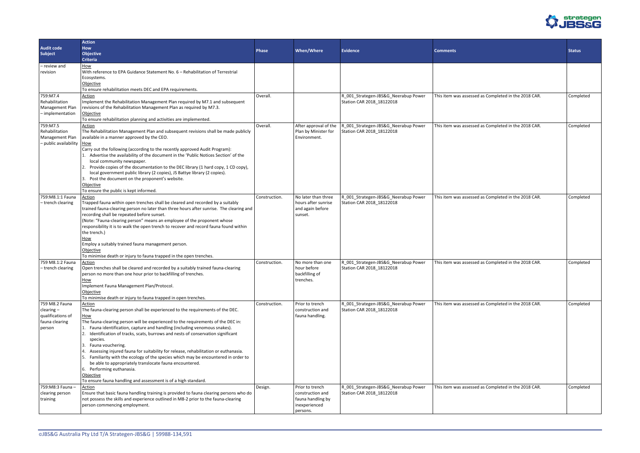

|                             | <b>Action</b>                                                                           |               |                       |                                      |                                                      |               |
|-----------------------------|-----------------------------------------------------------------------------------------|---------------|-----------------------|--------------------------------------|------------------------------------------------------|---------------|
| <b>Audit code</b>           | <b>How</b>                                                                              |               |                       |                                      |                                                      |               |
| <b>Subject</b>              | <b>Objective</b>                                                                        | <b>Phase</b>  | <b>When/Where</b>     | <b>Evidence</b>                      | <b>Comments</b>                                      | <b>Status</b> |
|                             | <b>Criteria</b>                                                                         |               |                       |                                      |                                                      |               |
|                             |                                                                                         |               |                       |                                      |                                                      |               |
| - review and                | How                                                                                     |               |                       |                                      |                                                      |               |
| revision                    | With reference to EPA Guidance Statement No. 6 - Rehabilitation of Terrestrial          |               |                       |                                      |                                                      |               |
|                             | Ecosystems.                                                                             |               |                       |                                      |                                                      |               |
|                             | Objective                                                                               |               |                       |                                      |                                                      |               |
|                             | To ensure rehabilitation meets DEC and EPA requirements.                                |               |                       |                                      |                                                      |               |
| 759:M7.4                    | <b>Action</b>                                                                           | Overall.      |                       | R_001_Strategen-JBS&G_Neerabup Power | This item was assessed as Completed in the 2018 CAR. | Completed     |
| Rehabilitation              | Implement the Rehabilitation Management Plan required by M7.1 and subsequent            |               |                       | Station CAR 2018_18122018            |                                                      |               |
| Management Plan             | revisions of the Rehabilitation Management Plan as required by M7.3.                    |               |                       |                                      |                                                      |               |
| - implementation            | Objective                                                                               |               |                       |                                      |                                                      |               |
|                             | To ensure rehabilitation planning and activities are implemented.                       |               |                       |                                      |                                                      |               |
| 759:M7.5                    | Action                                                                                  | Overall.      | After approval of the | R_001_Strategen-JBS&G_Neerabup Power | This item was assessed as Completed in the 2018 CAR. | Completed     |
| Rehabilitation              | The Rehabilitation Management Plan and subsequent revisions shall be made publicly      |               | Plan by Minister for  | Station CAR 2018_18122018            |                                                      |               |
| Management Plan             | available in a manner approved by the CEO.                                              |               | Environment.          |                                      |                                                      |               |
| - public availability   How |                                                                                         |               |                       |                                      |                                                      |               |
|                             | Carry out the following (according to the recently approved Audit Program):             |               |                       |                                      |                                                      |               |
|                             |                                                                                         |               |                       |                                      |                                                      |               |
|                             | Advertise the availability of the document in the 'Public Notices Section' of the       |               |                       |                                      |                                                      |               |
|                             | local community newspaper.                                                              |               |                       |                                      |                                                      |               |
|                             | 2. Provide copies of the documentation to the DEC library (1 hard copy, 1 CD copy),     |               |                       |                                      |                                                      |               |
|                             | local government public library (2 copies), JS Battye library (2 copies).               |               |                       |                                      |                                                      |               |
|                             | 3. Post the document on the proponent's website.                                        |               |                       |                                      |                                                      |               |
|                             | Objective                                                                               |               |                       |                                      |                                                      |               |
|                             | To ensure the public is kept informed.                                                  |               |                       |                                      |                                                      |               |
| 759: M8.1:1 Fauna           | Action                                                                                  | Construction. | No later than three   | R_001_Strategen-JBS&G_Neerabup Power | This item was assessed as Completed in the 2018 CAR. | Completed     |
| -trench clearing            | Trapped fauna within open trenches shall be cleared and recorded by a suitably          |               | hours after sunrise   | Station CAR 2018_18122018            |                                                      |               |
|                             | trained fauna-clearing person no later than three hours after sunrise. The clearing and |               | and again before      |                                      |                                                      |               |
|                             | recording shall be repeated before sunset.                                              |               | sunset.               |                                      |                                                      |               |
|                             | (Note: "Fauna-clearing person" means an employee of the proponent whose                 |               |                       |                                      |                                                      |               |
|                             | responsibility it is to walk the open trench to recover and record fauna found within   |               |                       |                                      |                                                      |               |
|                             |                                                                                         |               |                       |                                      |                                                      |               |
|                             | the trench.)                                                                            |               |                       |                                      |                                                      |               |
|                             | How                                                                                     |               |                       |                                      |                                                      |               |
|                             | Employ a suitably trained fauna management person.                                      |               |                       |                                      |                                                      |               |
|                             | Objective                                                                               |               |                       |                                      |                                                      |               |
|                             | To minimise death or injury to fauna trapped in the open trenches.                      |               |                       |                                      |                                                      |               |
| 759 M8.1:2 Fauna            | <b>Action</b>                                                                           | Construction. | No more than one      | R_001_Strategen-JBS&G_Neerabup Power | This item was assessed as Completed in the 2018 CAR. | Completed     |
| - trench clearing           | Open trenches shall be cleared and recorded by a suitably trained fauna-clearing        |               | hour before           | Station CAR 2018_18122018            |                                                      |               |
|                             | person no more than one hour prior to backfilling of trenches.                          |               | backfilling of        |                                      |                                                      |               |
|                             | How                                                                                     |               | trenches.             |                                      |                                                      |               |
|                             | Implement Fauna Management Plan/Protocol.                                               |               |                       |                                      |                                                      |               |
|                             | Objective                                                                               |               |                       |                                      |                                                      |               |
|                             | To minimise death or injury to fauna trapped in open trenches.                          |               |                       |                                      |                                                      |               |
| 759 M8.2 Fauna              | Action                                                                                  | Construction. | Prior to trench       | R_001_Strategen-JBS&G_Neerabup Power | This item was assessed as Completed in the 2018 CAR. | Completed     |
| $clearing -$                | The fauna-clearing person shall be experienced to the requirements of the DEC.          |               | construction and      | Station CAR 2018_18122018            |                                                      |               |
|                             |                                                                                         |               |                       |                                      |                                                      |               |
| qualifications of           | How                                                                                     |               | fauna handling.       |                                      |                                                      |               |
| fauna clearing              | The fauna-clearing person will be experienced to the requirements of the DEC in:        |               |                       |                                      |                                                      |               |
| person                      | 1. Fauna identification, capture and handling (including venomous snakes).              |               |                       |                                      |                                                      |               |
|                             | 2. Identification of tracks, scats, burrows and nests of conservation significant       |               |                       |                                      |                                                      |               |
|                             | species.                                                                                |               |                       |                                      |                                                      |               |
|                             | 3. Fauna vouchering.                                                                    |               |                       |                                      |                                                      |               |
|                             | Assessing injured fauna for suitability for release, rehabilitation or euthanasia.      |               |                       |                                      |                                                      |               |
|                             | 5. Familiarity with the ecology of the species which may be encountered in order to     |               |                       |                                      |                                                      |               |
|                             | be able to appropriately translocate fauna encountered.                                 |               |                       |                                      |                                                      |               |
|                             | 6. Performing euthanasia.                                                               |               |                       |                                      |                                                      |               |
|                             | Objective                                                                               |               |                       |                                      |                                                      |               |
|                             | To ensure fauna handling and assessment is of a high standard.                          |               |                       |                                      |                                                      |               |
|                             |                                                                                         |               |                       |                                      |                                                      |               |
| 759: M8: 3 Fauna -          | Action                                                                                  | Design.       | Prior to trench       | R_001_Strategen-JBS&G_Neerabup Power | This item was assessed as Completed in the 2018 CAR. | Completed     |
| clearing person             | Ensure that basic fauna handling training is provided to fauna clearing persons who do  |               | construction and      | Station CAR 2018_18122018            |                                                      |               |
| training                    | not possess the skills and experience outlined in M8-2 prior to the fauna-clearing      |               | fauna handling by     |                                      |                                                      |               |
|                             | person commencing employment.                                                           |               | inexperienced         |                                      |                                                      |               |
|                             |                                                                                         |               | persons.              |                                      |                                                      |               |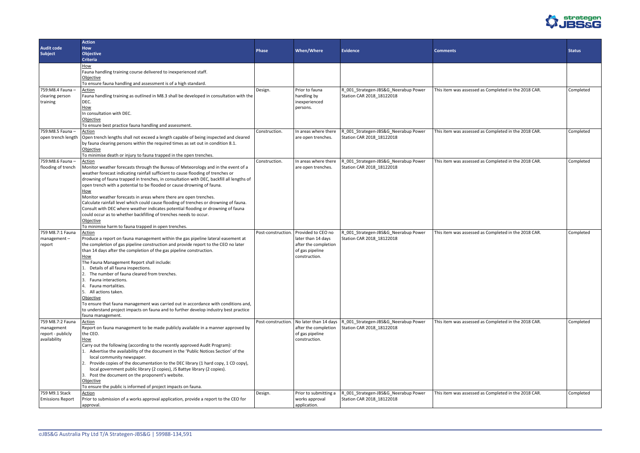

|                         | <b>Action</b>                                                                                                                                                       |                    |                       |                                      |                                                      |               |
|-------------------------|---------------------------------------------------------------------------------------------------------------------------------------------------------------------|--------------------|-----------------------|--------------------------------------|------------------------------------------------------|---------------|
| <b>Audit code</b>       | <b>How</b>                                                                                                                                                          |                    |                       |                                      |                                                      |               |
| <b>Subject</b>          | <b>Objective</b>                                                                                                                                                    | <b>Phase</b>       | When/Where            | <b>Evidence</b>                      | <b>Comments</b>                                      | <b>Status</b> |
|                         | <b>Criteria</b>                                                                                                                                                     |                    |                       |                                      |                                                      |               |
|                         | How                                                                                                                                                                 |                    |                       |                                      |                                                      |               |
|                         | Fauna handling training course delivered to inexperienced staff.                                                                                                    |                    |                       |                                      |                                                      |               |
|                         | Objective                                                                                                                                                           |                    |                       |                                      |                                                      |               |
|                         | To ensure fauna handling and assessment is of a high standard.                                                                                                      |                    |                       |                                      |                                                      |               |
| 759: M8.4 Fauna -       | <b>Action</b>                                                                                                                                                       | Design.            | Prior to fauna        | R_001_Strategen-JBS&G_Neerabup Power | This item was assessed as Completed in the 2018 CAR. | Completed     |
| clearing person         | Fauna handling training as outlined in M8.3 shall be developed in consultation with the                                                                             |                    | handling by           | Station CAR 2018 18122018            |                                                      |               |
| training                | DEC.                                                                                                                                                                |                    | inexperienced         |                                      |                                                      |               |
|                         | How                                                                                                                                                                 |                    | persons.              |                                      |                                                      |               |
|                         | In consultation with DEC.                                                                                                                                           |                    |                       |                                      |                                                      |               |
|                         | Objective                                                                                                                                                           |                    |                       |                                      |                                                      |               |
|                         | To ensure best practice fauna handling and assessment.                                                                                                              |                    |                       |                                      |                                                      |               |
| 759: M8.5 Fauna -       | Action                                                                                                                                                              | Construction.      | In areas where there  | R_001_Strategen-JBS&G_Neerabup Power | This item was assessed as Completed in the 2018 CAR. | Completed     |
| open trench length      | Open trench lengths shall not exceed a length capable of being inspected and cleared                                                                                |                    | are open trenches.    | Station CAR 2018 18122018            |                                                      |               |
|                         | by fauna clearing persons within the required times as set out in condition 8.1.                                                                                    |                    |                       |                                      |                                                      |               |
|                         | Objective                                                                                                                                                           |                    |                       |                                      |                                                      |               |
|                         | To minimise death or injury to fauna trapped in the open trenches.                                                                                                  |                    |                       |                                      |                                                      |               |
| 759: M8.6 Fauna -       | Action                                                                                                                                                              | Construction.      | In areas where there  | R_001_Strategen-JBS&G_Neerabup Power | This item was assessed as Completed in the 2018 CAR. | Completed     |
| flooding of trench      | Monitor weather forecasts through the Bureau of Meteorology and in the event of a                                                                                   |                    | are open trenches.    | Station CAR 2018_18122018            |                                                      |               |
|                         | weather forecast indicating rainfall sufficient to cause flooding of trenches or                                                                                    |                    |                       |                                      |                                                      |               |
|                         | drowning of fauna trapped in trenches, in consultation with DEC, backfill all lengths of                                                                            |                    |                       |                                      |                                                      |               |
|                         | open trench with a potential to be flooded or cause drowning of fauna.                                                                                              |                    |                       |                                      |                                                      |               |
|                         | How<br>Monitor weather forecasts in areas where there are open trenches.                                                                                            |                    |                       |                                      |                                                      |               |
|                         | Calculate rainfall level which could cause flooding of trenches or drowning of fauna.                                                                               |                    |                       |                                      |                                                      |               |
|                         | Consult with DEC where weather indicates potential flooding or drowning of fauna                                                                                    |                    |                       |                                      |                                                      |               |
|                         | could occur as to whether backfilling of trenches needs to occur.                                                                                                   |                    |                       |                                      |                                                      |               |
|                         | Objective                                                                                                                                                           |                    |                       |                                      |                                                      |               |
|                         | To minimise harm to fauna trapped in open trenches.                                                                                                                 |                    |                       |                                      |                                                      |               |
| 759 M8.7:1 Fauna        | Action                                                                                                                                                              | Post-construction. | Provided to CEO no    | R_001_Strategen-JBS&G_Neerabup Power | This item was assessed as Completed in the 2018 CAR. | Completed     |
| management-             | Produce a report on fauna management within the gas pipeline lateral easement at                                                                                    |                    | later than 14 days    | Station CAR 2018_18122018            |                                                      |               |
| report                  | the completion of gas pipeline construction and provide report to the CEO no later                                                                                  |                    | after the completion  |                                      |                                                      |               |
|                         | than 14 days after the completion of the gas pipeline construction.                                                                                                 |                    | of gas pipeline       |                                      |                                                      |               |
|                         | <u>How</u>                                                                                                                                                          |                    | construction.         |                                      |                                                      |               |
|                         | The Fauna Management Report shall include:                                                                                                                          |                    |                       |                                      |                                                      |               |
|                         | Details of all fauna inspections.                                                                                                                                   |                    |                       |                                      |                                                      |               |
|                         | 2. The number of fauna cleared from trenches.                                                                                                                       |                    |                       |                                      |                                                      |               |
|                         | 3. Fauna interactions.                                                                                                                                              |                    |                       |                                      |                                                      |               |
|                         | 4. Fauna mortalities.                                                                                                                                               |                    |                       |                                      |                                                      |               |
|                         | 5. All actions taken.                                                                                                                                               |                    |                       |                                      |                                                      |               |
|                         | Objective                                                                                                                                                           |                    |                       |                                      |                                                      |               |
|                         | To ensure that fauna management was carried out in accordance with conditions and,                                                                                  |                    |                       |                                      |                                                      |               |
|                         | to understand project impacts on fauna and to further develop industry best practice                                                                                |                    |                       |                                      |                                                      |               |
|                         | fauna management.                                                                                                                                                   |                    |                       |                                      |                                                      |               |
| 759 M8.7:2 Fauna        | Action                                                                                                                                                              | Post-construction. | No later than 14 days | R_001_Strategen-JBS&G_Neerabup Power | This item was assessed as Completed in the 2018 CAR. | Completed     |
| management              | Report on fauna management to be made publicly available in a manner approved by                                                                                    |                    | after the completion  | Station CAR 2018 18122018            |                                                      |               |
| report - publicly       | the CEO.                                                                                                                                                            |                    | of gas pipeline       |                                      |                                                      |               |
| availability            | How                                                                                                                                                                 |                    | construction.         |                                      |                                                      |               |
|                         | Carry out the following (according to the recently approved Audit Program):<br>1. Advertise the availability of the document in the 'Public Notices Section' of the |                    |                       |                                      |                                                      |               |
|                         | local community newspaper.                                                                                                                                          |                    |                       |                                      |                                                      |               |
|                         | 2. Provide copies of the documentation to the DEC library (1 hard copy, 1 CD copy),                                                                                 |                    |                       |                                      |                                                      |               |
|                         | local government public library (2 copies), JS Battye library (2 copies).                                                                                           |                    |                       |                                      |                                                      |               |
|                         | 3. Post the document on the proponent's website.                                                                                                                    |                    |                       |                                      |                                                      |               |
|                         | Objective                                                                                                                                                           |                    |                       |                                      |                                                      |               |
|                         | To ensure the public is informed of project impacts on fauna.                                                                                                       |                    |                       |                                      |                                                      |               |
| 759 M9.1 Stack          | Action                                                                                                                                                              | Design.            | Prior to submitting a | R_001_Strategen-JBS&G_Neerabup Power | This item was assessed as Completed in the 2018 CAR. | Completed     |
| <b>Emissions Report</b> | Prior to submission of a works approval application, provide a report to the CEO for                                                                                |                    | works approval        | Station CAR 2018_18122018            |                                                      |               |
|                         | approval.                                                                                                                                                           |                    | application.          |                                      |                                                      |               |
|                         |                                                                                                                                                                     |                    |                       |                                      |                                                      |               |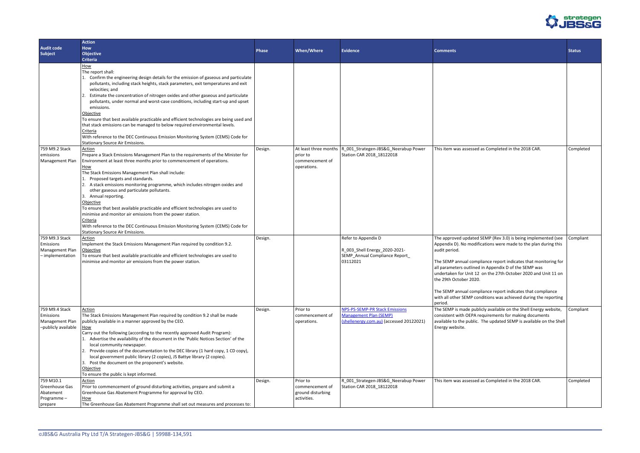

| <b>Comments</b>                                                                                                                                                                                                                                                                                                                                                                                                                                                                                                         | <b>Status</b> |
|-------------------------------------------------------------------------------------------------------------------------------------------------------------------------------------------------------------------------------------------------------------------------------------------------------------------------------------------------------------------------------------------------------------------------------------------------------------------------------------------------------------------------|---------------|
|                                                                                                                                                                                                                                                                                                                                                                                                                                                                                                                         |               |
| This item was assessed as Completed in the 2018 CAR.                                                                                                                                                                                                                                                                                                                                                                                                                                                                    | Completed     |
| The approved updated SEMP (Rev 3.0) is being implemented (see<br>Appendix D). No modifications were made to the plan during this<br>audit period.<br>The SEMP annual compliance report indicates that monitoring for<br>all parameters outlined in Appendix D of the SEMP was<br>undertaken for Unit 12 on the 27th October 2020 and Unit 11 on<br>the 29th October 2020.<br>The SEMP annual compliance report indicates that compliance<br>with all other SEMP conditions was achieved during the reporting<br>period. | Compliant     |
| The SEMP is made publicly available on the Shell Energy website,<br>consistent with OEPA requirements for making documents<br>available to the public. The updated SEMP is available on the Shell<br>Energy website.                                                                                                                                                                                                                                                                                                    | Compliant     |
| This item was assessed as Completed in the 2018 CAR.                                                                                                                                                                                                                                                                                                                                                                                                                                                                    | Completed     |

|                                     | <b>Action</b>                                                                                  |              |                   |                                                                                           |                                                                                  |               |
|-------------------------------------|------------------------------------------------------------------------------------------------|--------------|-------------------|-------------------------------------------------------------------------------------------|----------------------------------------------------------------------------------|---------------|
| <b>Audit code</b><br><b>Subject</b> | <b>How</b><br><b>Objective</b>                                                                 | <b>Phase</b> | When/Where        | <b>Evidence</b>                                                                           | <b>Comments</b>                                                                  | <b>Status</b> |
|                                     | <b>Criteria</b>                                                                                |              |                   |                                                                                           |                                                                                  |               |
|                                     | How                                                                                            |              |                   |                                                                                           |                                                                                  |               |
|                                     | The report shall:                                                                              |              |                   |                                                                                           |                                                                                  |               |
|                                     | 1. Confirm the engineering design details for the emission of gaseous and particulate          |              |                   |                                                                                           |                                                                                  |               |
|                                     | pollutants, including stack heights, stack parameters, exit temperatures and exit              |              |                   |                                                                                           |                                                                                  |               |
|                                     | velocities; and                                                                                |              |                   |                                                                                           |                                                                                  |               |
|                                     | Estimate the concentration of nitrogen oxides and other gaseous and particulate                |              |                   |                                                                                           |                                                                                  |               |
|                                     | pollutants, under normal and worst-case conditions, including start-up and upset<br>emissions. |              |                   |                                                                                           |                                                                                  |               |
|                                     | Objective                                                                                      |              |                   |                                                                                           |                                                                                  |               |
|                                     | To ensure that best available practicable and efficient technologies are being used and        |              |                   |                                                                                           |                                                                                  |               |
|                                     | that stack emissions can be managed to below required environmental levels.                    |              |                   |                                                                                           |                                                                                  |               |
|                                     | Criteria                                                                                       |              |                   |                                                                                           |                                                                                  |               |
|                                     | With reference to the DEC Continuous Emission Monitoring System (CEMS) Code for                |              |                   |                                                                                           |                                                                                  |               |
| 759 M9.2 Stack                      | Stationary Source Air Emissions.                                                               |              |                   |                                                                                           |                                                                                  |               |
| emissions                           | Action<br>Prepare a Stack Emissions Management Plan to the requirements of the Minister for    | Design.      | prior to          | At least three months   R_001_Strategen-JBS&G_Neerabup Power<br>Station CAR 2018_18122018 | This item was assessed as Completed in the 2018 CAR.                             | Comp          |
| Management Plan                     | Environment at least three months prior to commencement of operations.                         |              | commencement of   |                                                                                           |                                                                                  |               |
|                                     | How                                                                                            |              | operations.       |                                                                                           |                                                                                  |               |
|                                     | The Stack Emissions Management Plan shall include:                                             |              |                   |                                                                                           |                                                                                  |               |
|                                     | Proposed targets and standards.                                                                |              |                   |                                                                                           |                                                                                  |               |
|                                     | 2. A stack emissions monitoring programme, which includes nitrogen oxides and                  |              |                   |                                                                                           |                                                                                  |               |
|                                     | other gaseous and particulate pollutants.                                                      |              |                   |                                                                                           |                                                                                  |               |
|                                     | 3. Annual reporting.<br>Objective                                                              |              |                   |                                                                                           |                                                                                  |               |
|                                     | To ensure that best available practicable and efficient technologies are used to               |              |                   |                                                                                           |                                                                                  |               |
|                                     | minimise and monitor air emissions from the power station.                                     |              |                   |                                                                                           |                                                                                  |               |
|                                     | Criteria                                                                                       |              |                   |                                                                                           |                                                                                  |               |
|                                     | With reference to the DEC Continuous Emission Monitoring System (CEMS) Code for                |              |                   |                                                                                           |                                                                                  |               |
|                                     | <b>Stationary Source Air Emissions.</b>                                                        |              |                   |                                                                                           |                                                                                  |               |
| 759 M9.3 Stack<br>Emissions         | <b>Action</b>                                                                                  | Design.      |                   | Refer to Appendix D                                                                       | The approved updated SEMP (Rev 3.0) is being implemented (see $\vert$ Comp       |               |
| Management Plan                     | Implement the Stack Emissions Management Plan required by condition 9.2.<br>Objective          |              |                   | R_003_Shell Energy_2020-2021-                                                             | Appendix D). No modifications were made to the plan during this<br>audit period. |               |
| - implementation                    | To ensure that best available practicable and efficient technologies are used to               |              |                   | SEMP_Annual Compliance Report                                                             |                                                                                  |               |
|                                     | minimise and monitor air emissions from the power station.                                     |              |                   | 03112021                                                                                  | The SEMP annual compliance report indicates that monitoring for                  |               |
|                                     |                                                                                                |              |                   |                                                                                           | all parameters outlined in Appendix D of the SEMP was                            |               |
|                                     |                                                                                                |              |                   |                                                                                           | undertaken for Unit 12 on the 27th October 2020 and Unit 11 on                   |               |
|                                     |                                                                                                |              |                   |                                                                                           | the 29th October 2020.                                                           |               |
|                                     |                                                                                                |              |                   |                                                                                           | The SEMP annual compliance report indicates that compliance                      |               |
|                                     |                                                                                                |              |                   |                                                                                           | with all other SEMP conditions was achieved during the reporting                 |               |
|                                     |                                                                                                |              |                   |                                                                                           | period.                                                                          |               |
| 759 M9.4 Stack                      | Action                                                                                         | Design.      | Prior to          | <b>NPS-PS-SEMP-PR Stack Emissions</b>                                                     | The SEMP is made publicly available on the Shell Energy website,                 | Compl         |
| Emissions                           | The Stack Emissions Management Plan required by condition 9.2 shall be made                    |              | commencement of   | <b>Management Plan (SEMP)</b>                                                             | consistent with OEPA requirements for making documents                           |               |
| Management Plar                     | publicly available in a manner approved by the CEO.                                            |              | operations.       | (shellenergy.com.au) (accessed 20122021)                                                  | available to the public. The updated SEMP is available on the Shell              |               |
| -publicly available                 | How<br>Carry out the following (according to the recently approved Audit Program):             |              |                   |                                                                                           | Energy website.                                                                  |               |
|                                     | Advertise the availability of the document in the 'Public Notices Section' of the              |              |                   |                                                                                           |                                                                                  |               |
|                                     | local community newspaper.                                                                     |              |                   |                                                                                           |                                                                                  |               |
|                                     | Provide copies of the documentation to the DEC library (1 hard copy, 1 CD copy),               |              |                   |                                                                                           |                                                                                  |               |
|                                     | local government public library (2 copies), JS Battye library (2 copies).                      |              |                   |                                                                                           |                                                                                  |               |
|                                     | 3. Post the document on the proponent's website.                                               |              |                   |                                                                                           |                                                                                  |               |
|                                     | Objective                                                                                      |              |                   |                                                                                           |                                                                                  |               |
| 759 M10.1                           | To ensure the public is kept informed.                                                         |              | Prior to          |                                                                                           |                                                                                  |               |
| Greenhouse Gas                      | Action<br>Prior to commencement of ground disturbing activities, prepare and submit a          | Design.      | commencement of   | R_001_Strategen-JBS&G_Neerabup Power<br>Station CAR 2018_18122018                         | This item was assessed as Completed in the 2018 CAR.                             | Comp          |
| Abatement                           | Greenhouse Gas Abatement Programme for approval by CEO.                                        |              | ground disturbing |                                                                                           |                                                                                  |               |
| Programme-                          | How                                                                                            |              | activities.       |                                                                                           |                                                                                  |               |
| prepare                             | The Greenhouse Gas Abatement Programme shall set out measures and processes to:                |              |                   |                                                                                           |                                                                                  |               |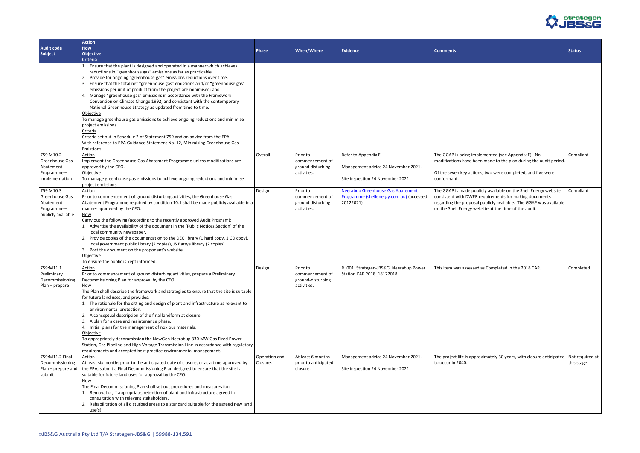

|                                                                              | <b>Action</b>                                                                                                                                                                                                                                                                                                                                                                                                                                                                                                                                                                                                                                                                                                                                                                                                                                                                                                          |                           |                                                                 |                                                                                            |                                                                                                                                                                                                                                                          |               |
|------------------------------------------------------------------------------|------------------------------------------------------------------------------------------------------------------------------------------------------------------------------------------------------------------------------------------------------------------------------------------------------------------------------------------------------------------------------------------------------------------------------------------------------------------------------------------------------------------------------------------------------------------------------------------------------------------------------------------------------------------------------------------------------------------------------------------------------------------------------------------------------------------------------------------------------------------------------------------------------------------------|---------------------------|-----------------------------------------------------------------|--------------------------------------------------------------------------------------------|----------------------------------------------------------------------------------------------------------------------------------------------------------------------------------------------------------------------------------------------------------|---------------|
| <b>Audit code</b>                                                            | How                                                                                                                                                                                                                                                                                                                                                                                                                                                                                                                                                                                                                                                                                                                                                                                                                                                                                                                    | <b>Phase</b>              | When/Where                                                      | <b>Evidence</b>                                                                            |                                                                                                                                                                                                                                                          |               |
| Subject                                                                      | <b>Objective</b>                                                                                                                                                                                                                                                                                                                                                                                                                                                                                                                                                                                                                                                                                                                                                                                                                                                                                                       |                           |                                                                 |                                                                                            | <b>Comments</b>                                                                                                                                                                                                                                          | <b>Status</b> |
|                                                                              | <b>Criteria</b>                                                                                                                                                                                                                                                                                                                                                                                                                                                                                                                                                                                                                                                                                                                                                                                                                                                                                                        |                           |                                                                 |                                                                                            |                                                                                                                                                                                                                                                          |               |
| 759 M10.2                                                                    | Ensure that the plant is designed and operated in a manner which achieves<br>reductions in "greenhouse gas" emissions as far as practicable.<br>2. Provide for ongoing "greenhouse gas" emissions reductions over time.<br>3. Ensure that the total net "greenhouse gas" emissions and/or "greenhouse gas"<br>emissions per unit of product from the project are minimised; and<br>4. Manage "greenhouse gas" emissions in accordance with the Framework<br>Convention on Climate Change 1992, and consistent with the contemporary<br>National Greenhouse Strategy as updated from time to time.<br>Objective<br>To manage greenhouse gas emissions to achieve ongoing reductions and minimise<br>project emissions.<br>Criteria<br>Criteria set out in Schedule 2 of Statement 759 and on advice from the EPA.<br>With reference to EPA Guidance Statement No. 12, Minimising Greenhouse Gas<br>Emissions.<br>Action | Overall.                  | Prior to                                                        | Refer to Appendix E                                                                        | The GGAP is being implemented (see Appendix E). No                                                                                                                                                                                                       | Comp          |
| Greenhouse Gas                                                               | Implement the Greenhouse Gas Abatement Programme unless modifications are                                                                                                                                                                                                                                                                                                                                                                                                                                                                                                                                                                                                                                                                                                                                                                                                                                              |                           | commencement of                                                 |                                                                                            | modifications have been made to the plan during the audit period.                                                                                                                                                                                        |               |
| Abatement<br>Programme-<br>implementation                                    | approved by the CEO.<br>Objective<br>To manage greenhouse gas emissions to achieve ongoing reductions and minimise<br>project emissions.                                                                                                                                                                                                                                                                                                                                                                                                                                                                                                                                                                                                                                                                                                                                                                               |                           | ground disturbing<br>activities.                                | Management advice 24 November 2021.<br>Site inspection 24 November 2021.                   | Of the seven key actions, two were completed, and five were<br>conformant.                                                                                                                                                                               |               |
| 759 M10.3<br>Greenhouse Gas<br>Abatement<br>Programme-<br>publicly available | Action<br>Prior to commencement of ground disturbing activities, the Greenhouse Gas<br>Abatement Programme required by condition 10.1 shall be made publicly available in a<br>manner approved by the CEO.<br>How<br>Carry out the following (according to the recently approved Audit Program):<br>1. Advertise the availability of the document in the 'Public Notices Section' of the<br>local community newspaper.<br>2. Provide copies of the documentation to the DEC library (1 hard copy, 1 CD copy),                                                                                                                                                                                                                                                                                                                                                                                                          | Design.                   | Prior to<br>commencement of<br>ground disturbing<br>activities. | Neerabup Greenhouse Gas Abatement<br>Programme (shellenergy.com.au) (accessed<br>20122021) | The GGAP is made publicly available on the Shell Energy website,<br>consistent with DWER requirements for making documents<br>regarding the proposal publicly available. The GGAP was available<br>on the Shell Energy website at the time of the audit. | Comp          |
|                                                                              | local government public library (2 copies), JS Battye library (2 copies).<br>3. Post the document on the proponent's website.<br>Objective<br>To ensure the public is kept informed.                                                                                                                                                                                                                                                                                                                                                                                                                                                                                                                                                                                                                                                                                                                                   |                           | Prior to                                                        |                                                                                            |                                                                                                                                                                                                                                                          |               |
| 759:M11.1<br>Preliminary<br>Decommissioning<br>Plan - prepare                | Action<br>Prior to commencement of ground disturbing activities, prepare a Preliminary<br>Decommissioning Plan for approval by the CEO.<br><b>How</b><br>The Plan shall describe the framework and strategies to ensure that the site is suitable<br>for future land uses, and provides:<br>1. The rationale for the sitting and design of plant and infrastructure as relevant to<br>environmental protection.<br>2. A conceptual description of the final landform at closure.<br>3. A plan for a care and maintenance phase.<br>4. Initial plans for the management of noxious materials.<br>Objective<br>To appropriately decommission the NewGen Neerabup 330 MW Gas Fired Power<br>Station, Gas Pipeline and High Voltage Transmission Line in accordance with regulatory<br>requirements and accepted best practice environmental management.                                                                   | Design.                   | commencement of<br>ground-disturbing<br>activities.             | R_001_Strategen-JBS&G_Neerabup Power<br>Station CAR 2018_18122018                          | This item was assessed as Completed in the 2018 CAR.                                                                                                                                                                                                     | Comp          |
| 759:M11.2 Final<br>Decommissioning<br>Plan - prepare and<br>submit           | Action<br>At least six months prior to the anticipated date of closure, or at a time approved by<br>the EPA, submit a Final Decommissioning Plan designed to ensure that the site is<br>suitable for future land uses for approval by the CEO.<br><u>How</u><br>The Final Decommissioning Plan shall set out procedures and measures for:<br>1. Removal or, if appropriate, retention of plant and infrastructure agreed in<br>consultation with relevant stakeholders.<br>2. Rehabilitation of all disturbed areas to a standard suitable for the agreed new land<br>use(s).                                                                                                                                                                                                                                                                                                                                          | Operation and<br>Closure. | At least 6 months<br>prior to anticipated<br>closure.           | Management advice 24 November 2021.<br>Site inspection 24 November 2021.                   | The project life is approximately 30 years, with closure anticipated   Not re<br>to occur in 2040.                                                                                                                                                       | this st       |

| <b>Comments</b>                                                                                                                                                                                                                                          | <b>Status</b>                 |
|----------------------------------------------------------------------------------------------------------------------------------------------------------------------------------------------------------------------------------------------------------|-------------------------------|
|                                                                                                                                                                                                                                                          |                               |
| The GGAP is being implemented (see Appendix E). No                                                                                                                                                                                                       | Compliant                     |
| modifications have been made to the plan during the audit period.<br>Of the seven key actions, two were completed, and five were<br>conformant.                                                                                                          |                               |
| The GGAP is made publicly available on the Shell Energy website,<br>consistent with DWER requirements for making documents<br>regarding the proposal publicly available. The GGAP was available<br>on the Shell Energy website at the time of the audit. | Compliant                     |
| This item was assessed as Completed in the 2018 CAR.                                                                                                                                                                                                     | Completed                     |
| The project life is approximately 30 years, with closure anticipated<br>to occur in 2040.                                                                                                                                                                | Not required at<br>this stage |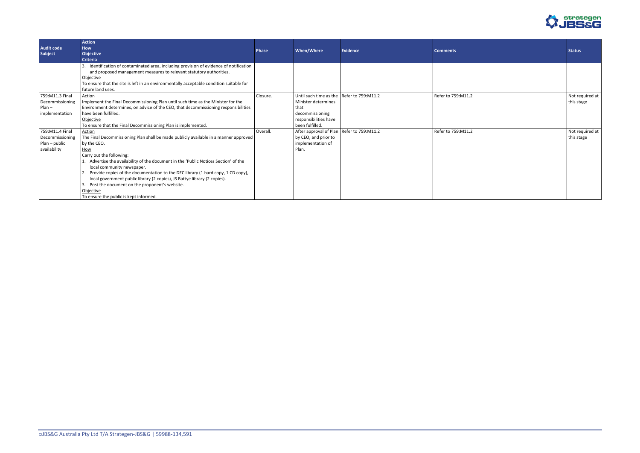

| <b>Audit code</b><br><b>Subject</b>                                 | <b>Action</b><br><b>How</b><br><b>Objective</b><br><b>Criteria</b>                                                                                                                                                                                                                                                                                                                                                                                                                                                                                           | Phase    | When/Where                                                                                                                              | Evidence | <b>Comments</b>    | <b>Status</b>                 |
|---------------------------------------------------------------------|--------------------------------------------------------------------------------------------------------------------------------------------------------------------------------------------------------------------------------------------------------------------------------------------------------------------------------------------------------------------------------------------------------------------------------------------------------------------------------------------------------------------------------------------------------------|----------|-----------------------------------------------------------------------------------------------------------------------------------------|----------|--------------------|-------------------------------|
|                                                                     | 3. Identification of contaminated area, including provision of evidence of notification<br>and proposed management measures to relevant statutory authorities.<br>Objective<br>To ensure that the site is left in an environmentally acceptable condition suitable for<br>future land uses.                                                                                                                                                                                                                                                                  |          |                                                                                                                                         |          |                    |                               |
| 759:M11.3 Final<br>Decommissioning<br>$Plan -$<br>implementation    | Action<br>Implement the Final Decommissioning Plan until such time as the Minister for the<br>Environment determines, on advice of the CEO, that decommissioning responsibilities<br>have been fulfilled.<br>Objective<br>To ensure that the Final Decommissioning Plan is implemented.                                                                                                                                                                                                                                                                      | Closure. | Until such time as the Refer to 759:M11.2<br>Minister determines<br>that<br>decommissioning<br>responsibilities have<br>been fulfilled. |          | Refer to 759:M11.2 | Not required at<br>this stage |
| 759:M11.4 Final<br>Decommissioning<br>Plan - public<br>availability | Action<br>The Final Decommissioning Plan shall be made publicly available in a manner approved<br>by the CEO.<br><b>How</b><br>Carry out the following:<br>1. Advertise the availability of the document in the 'Public Notices Section' of the<br>local community newspaper.<br>2. Provide copies of the documentation to the DEC library (1 hard copy, 1 CD copy),<br>local government public library (2 copies), JS Battye library (2 copies).<br>3. Post the document on the proponent's website.<br>Objective<br>To ensure the public is kept informed. | Overall. | After approval of Plan   Refer to 759:M11.2<br>by CEO, and prior to<br>implementation of<br>Plan.                                       |          | Refer to 759:M11.2 | Not required at<br>this stage |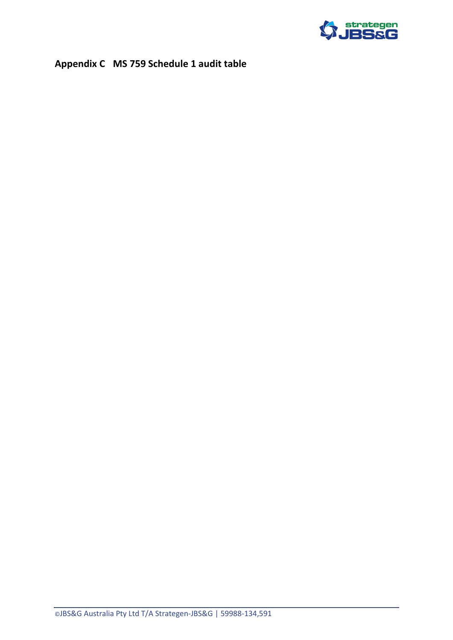

# <span id="page-22-0"></span>**Appendix C MS 759 Schedule 1 audit table**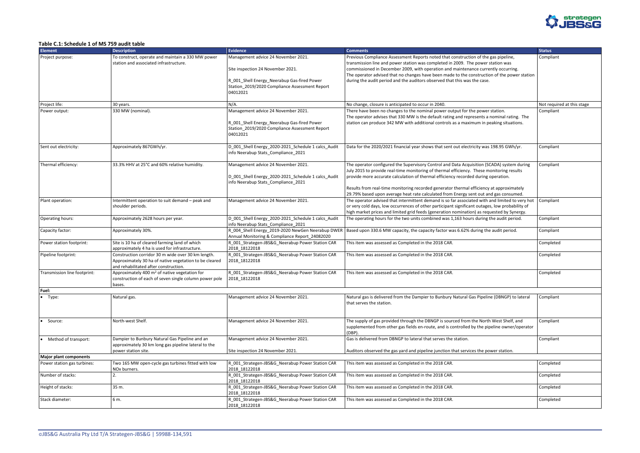

#### <span id="page-23-0"></span>**Table C.1: Schedule 1 of MS 759 audit table**

| <b>Element</b>                    | <b>Description</b>                                                                                                                                    | Evidence                                                                                                                                         | <b>Comments</b>                                                                                                                                                                                                                                                                                  | <b>Status</b>              |
|-----------------------------------|-------------------------------------------------------------------------------------------------------------------------------------------------------|--------------------------------------------------------------------------------------------------------------------------------------------------|--------------------------------------------------------------------------------------------------------------------------------------------------------------------------------------------------------------------------------------------------------------------------------------------------|----------------------------|
| Project purpose:                  | To construct, operate and maintain a 330 MW power<br>station and associated infrastructure.                                                           | Management advice 24 November 2021.                                                                                                              | Previous Compliance Assessment Reports noted that construction of the gas pipeline,<br>transmission line and power station was completed in 2009. The power station was                                                                                                                          | Compliant                  |
|                                   |                                                                                                                                                       | Site inspection 24 November 2021.                                                                                                                | commissioned in December 2009, with operation and maintenance currently occurring.<br>The operator advised that no changes have been made to the construction of the power station                                                                                                               |                            |
|                                   |                                                                                                                                                       | R_001_Shell Energy_Neerabup Gas-fired Power<br>Station_2019/2020 Compliance Assessment Report<br>04012021                                        | during the audit period and the auditors observed that this was the case.                                                                                                                                                                                                                        |                            |
| Project life:                     | 30 years.                                                                                                                                             | $N/A$ .                                                                                                                                          | No change, closure is anticipated to occur in 2040.                                                                                                                                                                                                                                              | Not required at this stage |
| Power output:                     | 330 MW (nominal).                                                                                                                                     | Management advice 24 November 2021.<br>R_001_Shell Energy_Neerabup Gas-fired Power<br>Station_2019/2020 Compliance Assessment Report<br>04012021 | There have been no changes to the nominal power output for the power station.<br>The operator advises that 330 MW is the default rating and represents a nominal rating. The<br>station can produce 342 MW with additional controls as a maximum in peaking situations.                          | Compliant                  |
| Sent out electricity:             | Approximately 867GWh/yr.                                                                                                                              | D_001_Shell Energy_2020-2021_Schedule 1 calcs_Audit<br>info Neerabup Stats_Compliance_2021                                                       | Data for the 2020/2021 financial year shows that sent out electricity was 198.95 GWh/yr.                                                                                                                                                                                                         | Compliant                  |
| Thermal efficiency:               | 33.3% HHV at 25°C and 60% relative humidity.                                                                                                          | Management advice 24 November 2021.                                                                                                              | The operator configured the Supervisory Control and Data Acquisition (SCADA) system during                                                                                                                                                                                                       | Compliant                  |
|                                   |                                                                                                                                                       | D_001_Shell Energy_2020-2021_Schedule 1 calcs_Audit<br>info Neerabup Stats Compliance 2021                                                       | July 2015 to provide real-time monitoring of thermal efficiency. These monitoring results<br>provide more accurate calculation of thermal efficiency recorded during operation.                                                                                                                  |                            |
|                                   |                                                                                                                                                       |                                                                                                                                                  | Results from real-time monitoring recorded generator thermal efficiency at approximately<br>29.79% based upon average heat rate calculated from Energy sent out and gas consumed.                                                                                                                |                            |
| Plant operation:                  | Intermittent operation to suit demand - peak and<br>shoulder periods.                                                                                 | Management advice 24 November 2021.                                                                                                              | The operator advised that intermittent demand is so far associated with and limited to very hot<br>or very cold days, low occurrences of other participant significant outages, low probability of<br>high market prices and limited grid feeds (generation nomination) as requested by Synergy. | Compliant                  |
| Operating hours:                  | Approximately 2628 hours per year.                                                                                                                    | D_001_Shell Energy_2020-2021_Schedule 1 calcs_Audit<br>info Neerabup Stats_Compliance_2021                                                       | The operating hours for the two units combined was 1,163 hours during the audit period.                                                                                                                                                                                                          | Compliant                  |
| Capacity factor:                  | Approximately 30%.                                                                                                                                    | R_004_Shell Energy_2019-2020 NewGen Neerabup DWER<br>Annual Monitoring & Compliance Report_24082020                                              | Based upon 330.6 MW capacity, the capacity factor was 6.62% during the audit period.                                                                                                                                                                                                             | Compliant                  |
| Power station footprint:          | Site is 10 ha of cleared farming land of which<br>approximately 4 ha is used for infrastructure.                                                      | R_001_Strategen-JBS&G_Neerabup Power Station CAR<br>2018 18122018                                                                                | This item was assessed as Completed in the 2018 CAR.                                                                                                                                                                                                                                             | Completed                  |
| Pipeline footprint:               | Construction corridor 30 m wide over 30 km length.<br>Approximately 30 ha of native vegetation to be cleared<br>and rehabilitated after construction. | R_001_Strategen-JBS&G_Neerabup Power Station CAR<br>2018_18122018                                                                                | This item was assessed as Completed in the 2018 CAR.                                                                                                                                                                                                                                             | Completed                  |
| Transmission line footprint:      | Approximately 400 m <sup>2</sup> of native vegetation for<br>construction of each of seven single column power pole<br>bases.                         | R_001_Strategen-JBS&G_Neerabup Power Station CAR<br>2018_18122018                                                                                | This item was assessed as Completed in the 2018 CAR.                                                                                                                                                                                                                                             | Completed                  |
| Fuel:                             |                                                                                                                                                       |                                                                                                                                                  |                                                                                                                                                                                                                                                                                                  |                            |
| $\bullet$<br>Type:                | Natural gas.                                                                                                                                          | Management advice 24 November 2021.                                                                                                              | Natural gas is delivered from the Dampier to Bunbury Natural Gas Pipeline (DBNGP) to lateral<br>that serves the station.                                                                                                                                                                         | Compliant                  |
| Source:<br>$\bullet$              | North-west Shelf.                                                                                                                                     | Management advice 24 November 2021.                                                                                                              | The supply of gas provided through the DBNGP is sourced from the North West Shelf, and<br>supplemented from other gas fields en-route, and is controlled by the pipeline owner/operator<br>$(DBP)$ .                                                                                             | Compliant                  |
| Method of transport:<br>$\bullet$ | Dampier to Bunbury Natural Gas Pipeline and an<br>approximately 30 km long gas pipeline lateral to the                                                | Management advice 24 November 2021.                                                                                                              | Gas is delivered from DBNGP to lateral that serves the station.                                                                                                                                                                                                                                  | Compliant                  |
| Major plant components            | power station site.                                                                                                                                   | Site inspection 24 November 2021.                                                                                                                | Auditors observed the gas yard and pipeline junction that services the power station.                                                                                                                                                                                                            |                            |
| Power station gas turbines:       | Two 165 MW open-cycle gas turbines fitted with low<br>NOx burners.                                                                                    | R_001_Strategen-JBS&G_Neerabup Power Station CAR<br>2018 18122018                                                                                | This item was assessed as Completed in the 2018 CAR.                                                                                                                                                                                                                                             | Completed                  |
| Number of stacks:                 | 2.                                                                                                                                                    | R_001_Strategen-JBS&G_Neerabup Power Station CAR<br>2018 18122018                                                                                | This item was assessed as Completed in the 2018 CAR.                                                                                                                                                                                                                                             | Completed                  |
| Height of stacks:                 | 35 m.                                                                                                                                                 | R_001_Strategen-JBS&G_Neerabup Power Station CAR<br>2018 18122018                                                                                | This item was assessed as Completed in the 2018 CAR.                                                                                                                                                                                                                                             | Completed                  |
| Stack diameter:                   | 6 m.                                                                                                                                                  | R_001_Strategen-JBS&G_Neerabup Power Station CAR<br>2018_18122018                                                                                | This item was assessed as Completed in the 2018 CAR.                                                                                                                                                                                                                                             | Completed                  |

|                                                 | <b>Status</b>              |
|-------------------------------------------------|----------------------------|
| he gas pipeline,                                | Compliant                  |
| er station was                                  |                            |
| rrently occurring.                              |                            |
| ction of the power station                      |                            |
| se.                                             |                            |
|                                                 |                            |
|                                                 |                            |
|                                                 | Not required at this stage |
| er station.                                     | Compliant                  |
| a nominal rating. The                           |                            |
| peaking situations.                             |                            |
|                                                 |                            |
|                                                 |                            |
| as 198.95 GWh/yr.                               | Compliant                  |
|                                                 |                            |
| (SCADA) system during                           |                            |
| monitoring results                              | Compliant                  |
| ng operation.                                   |                            |
|                                                 |                            |
| icy at approximately                            |                            |
| and gas consumed.                               |                            |
| th and limited to very hot                      | Compliant                  |
| ges, low probability of<br>equested by Synergy. |                            |
| ng the audit period.                            | Compliant                  |
|                                                 |                            |
| the audit period.                               | Compliant                  |
|                                                 | Completed                  |
|                                                 |                            |
|                                                 | Completed                  |
|                                                 |                            |
|                                                 | Completed                  |
|                                                 |                            |
|                                                 |                            |
|                                                 |                            |
| eline (DBNGP) to lateral                        | Compliant                  |
|                                                 |                            |
|                                                 |                            |
| rth West Shelf, and                             | Compliant                  |
| pipeline owner/operator                         |                            |
|                                                 |                            |
|                                                 | Compliant                  |
| power station.                                  |                            |
|                                                 |                            |
|                                                 | Completed                  |
|                                                 | Completed                  |
|                                                 | Completed                  |
|                                                 |                            |
|                                                 | Completed                  |
|                                                 |                            |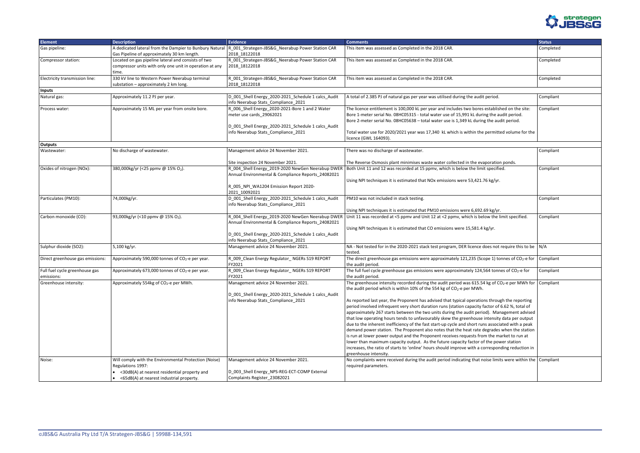

| <b>Element</b>                               | <b>Description</b>                                                                                                           | <b>Evidence</b>                                                                                                                                                           | <b>Comments</b>                                                                                                                                                                                                                                                                                                                                                                                                                                                                                                                                                                                                                                                                                                                                                                                                                                                                                                                                                                                                                                                                                                               | <b>Status</b> |
|----------------------------------------------|------------------------------------------------------------------------------------------------------------------------------|---------------------------------------------------------------------------------------------------------------------------------------------------------------------------|-------------------------------------------------------------------------------------------------------------------------------------------------------------------------------------------------------------------------------------------------------------------------------------------------------------------------------------------------------------------------------------------------------------------------------------------------------------------------------------------------------------------------------------------------------------------------------------------------------------------------------------------------------------------------------------------------------------------------------------------------------------------------------------------------------------------------------------------------------------------------------------------------------------------------------------------------------------------------------------------------------------------------------------------------------------------------------------------------------------------------------|---------------|
| Gas pipeline:                                | A dedicated lateral from the Dampier to Bunbury Natural<br>Gas Pipeline of approximately 30 km length.                       | R_001_Strategen-JBS&G_Neerabup Power Station CAR<br>2018 18122018                                                                                                         | This item was assessed as Completed in the 2018 CAR.                                                                                                                                                                                                                                                                                                                                                                                                                                                                                                                                                                                                                                                                                                                                                                                                                                                                                                                                                                                                                                                                          | Completed     |
| Compressor station:                          | Located on gas pipeline lateral and consists of two<br>compressor units with only one unit in operation at any<br>time.      | R_001_Strategen-JBS&G_Neerabup Power Station CAR<br>2018 18122018                                                                                                         | This item was assessed as Completed in the 2018 CAR.                                                                                                                                                                                                                                                                                                                                                                                                                                                                                                                                                                                                                                                                                                                                                                                                                                                                                                                                                                                                                                                                          | Completed     |
| Electricity transmission line:               | 330 kV line to Western Power Neerabup terminal<br>substation - approximately 2 km long.                                      | R_001_Strategen-JBS&G_Neerabup Power Station CAR<br>2018 18122018                                                                                                         | This item was assessed as Completed in the 2018 CAR.                                                                                                                                                                                                                                                                                                                                                                                                                                                                                                                                                                                                                                                                                                                                                                                                                                                                                                                                                                                                                                                                          | Completed     |
| <b>Inputs</b>                                |                                                                                                                              |                                                                                                                                                                           |                                                                                                                                                                                                                                                                                                                                                                                                                                                                                                                                                                                                                                                                                                                                                                                                                                                                                                                                                                                                                                                                                                                               |               |
| Natural gas:                                 | Approximately 11.2 PJ per year.                                                                                              | D_001_Shell Energy_2020-2021_Schedule 1 calcs_Audit<br>info Neerabup Stats_Compliance_2021                                                                                | A total of 2.385 PJ of natural gas per year was utilised during the audit period.                                                                                                                                                                                                                                                                                                                                                                                                                                                                                                                                                                                                                                                                                                                                                                                                                                                                                                                                                                                                                                             | Compliant     |
| Process water:                               | Approximately 15 ML per year from onsite bore.                                                                               | R_006_Shell Energy_2020-2021-Bore 1 and 2 Water<br>meter use cards_29062021<br>D_001_Shell Energy_2020-2021_Schedule 1 calcs_Audit<br>info Neerabup Stats_Compliance_2021 | The licence entitlement is 100,000 kL per year and includes two bores established on the site:<br>Bore 1-meter serial No. 08HC05315 - total water use of 15,991 kL during the audit period.<br>Bore 2-meter serial No. 08HC05638 - total water use is 1,349 kL during the audit period.<br>Total water use for 2020/2021 year was 17,340 kL which is within the permitted volume for the                                                                                                                                                                                                                                                                                                                                                                                                                                                                                                                                                                                                                                                                                                                                      | Compliant     |
|                                              |                                                                                                                              |                                                                                                                                                                           | licence (GWL 164093).                                                                                                                                                                                                                                                                                                                                                                                                                                                                                                                                                                                                                                                                                                                                                                                                                                                                                                                                                                                                                                                                                                         |               |
| <b>Outputs</b>                               |                                                                                                                              |                                                                                                                                                                           |                                                                                                                                                                                                                                                                                                                                                                                                                                                                                                                                                                                                                                                                                                                                                                                                                                                                                                                                                                                                                                                                                                                               |               |
| Wastewater:                                  | No discharge of wastewater.                                                                                                  | Management advice 24 November 2021.                                                                                                                                       | There was no discharge of wastewater.                                                                                                                                                                                                                                                                                                                                                                                                                                                                                                                                                                                                                                                                                                                                                                                                                                                                                                                                                                                                                                                                                         | Compliant     |
|                                              |                                                                                                                              | Site inspection 24 November 2021.                                                                                                                                         | The Reverse Osmosis plant minimises waste water collected in the evaporation ponds.                                                                                                                                                                                                                                                                                                                                                                                                                                                                                                                                                                                                                                                                                                                                                                                                                                                                                                                                                                                                                                           |               |
| Oxides of nitrogen (NOx):                    | 380,000kg/yr (<25 ppmv @ 15% O2).                                                                                            | R_004_Shell Energy_2019-2020 NewGen Neerabup DWER<br>Annual Environmental & Compliance Reports 24082021                                                                   | Both Unit 11 and 12 was recorded at 15 ppmv, which is below the limit specified.                                                                                                                                                                                                                                                                                                                                                                                                                                                                                                                                                                                                                                                                                                                                                                                                                                                                                                                                                                                                                                              | Compliant     |
|                                              |                                                                                                                              | R_005_NPI_WA1204 Emission Report 2020-<br>2021 10092021                                                                                                                   | Using NPI techniques it is estimated that NOx emissions were 53,421.76 kg/yr.                                                                                                                                                                                                                                                                                                                                                                                                                                                                                                                                                                                                                                                                                                                                                                                                                                                                                                                                                                                                                                                 |               |
| Particulates (PM10):                         | 74,000kg/yr.                                                                                                                 | D_001_Shell Energy_2020-2021_Schedule 1 calcs_Audit<br>info Neerabup Stats_Compliance_2021                                                                                | PM10 was not included in stack testing.<br>Using NPI techniques it is estimated that PM10 emissions were 6,692.69 kg/yr.                                                                                                                                                                                                                                                                                                                                                                                                                                                                                                                                                                                                                                                                                                                                                                                                                                                                                                                                                                                                      | Compliant     |
| Carbon monoxide (CO):                        | 93,000kg/yr (<10 ppmv @ 15% O2).                                                                                             | R_004_Shell Energy_2019-2020 NewGen Neerabup DWER                                                                                                                         | Unit 11 was recorded at <5 ppmv and Unit 12 at <2 ppmv, which is below the limit specified.                                                                                                                                                                                                                                                                                                                                                                                                                                                                                                                                                                                                                                                                                                                                                                                                                                                                                                                                                                                                                                   | Compliant     |
|                                              |                                                                                                                              | Annual Environmental & Compliance Reports_24082021<br>D_001_Shell Energy_2020-2021_Schedule 1 calcs_Audit<br>info Neerabup Stats_Compliance_2021                          | Using NPI techniques it is estimated that CO emissions were 15,581.4 kg/yr.                                                                                                                                                                                                                                                                                                                                                                                                                                                                                                                                                                                                                                                                                                                                                                                                                                                                                                                                                                                                                                                   |               |
| Sulphur dioxide (SO2):                       | 5,100 kg/yr.                                                                                                                 | Management advice 24 November 2021.                                                                                                                                       | NA - Not tested for in the 2020-2021 stack test program, DER licence does not require this to be $\big  N/A$<br>tested.                                                                                                                                                                                                                                                                                                                                                                                                                                                                                                                                                                                                                                                                                                                                                                                                                                                                                                                                                                                                       |               |
| Direct greenhouse gas emissions:             | Approximately 590,000 tonnes of CO <sub>2</sub> -e per year.                                                                 | R_009_Clean Energy Regulator_ NGERs S19 REPORT<br>FY2021                                                                                                                  | The direct greenhouse gas emissions were approximately 121,235 (Scope 1) tonnes of $CO2$ -e for<br>the audit period.                                                                                                                                                                                                                                                                                                                                                                                                                                                                                                                                                                                                                                                                                                                                                                                                                                                                                                                                                                                                          | Compliant     |
| Full fuel cycle greenhouse gas<br>emissions: | Approximately 673,000 tonnes of CO <sub>2</sub> -e per year.                                                                 | R 009 Clean Energy Regulator NGERs S19 REPORT<br>FY2021                                                                                                                   | The full fuel cycle greenhouse gas emissions were approximately 124,564 tonnes of CO <sub>2</sub> -e for<br>the audit period.                                                                                                                                                                                                                                                                                                                                                                                                                                                                                                                                                                                                                                                                                                                                                                                                                                                                                                                                                                                                 | Compliant     |
| Greenhouse intensity:                        | Approximately 554kg of CO <sub>2</sub> -e per MWh.                                                                           | Management advice 24 November 2021.<br>D_001_Shell Energy_2020-2021_Schedule 1 calcs_Audit<br>info Neerabup Stats_Compliance_2021                                         | The greenhouse intensity recorded during the audit period was 615.54 kg of $CO2$ -e per MWh for Compliant<br>the audit period which is within 10% of the 554 kg of CO <sub>2</sub> -e per MWh.<br>As reported last year, the Proponent has advised that typical operations through the reporting<br>period involved infrequent very short duration runs (station capacity factor of 6.62 %, total of<br>approximately 267 starts between the two units during the audit period). Management advised<br>that low operating hours tends to unfavourably skew the greenhouse intensity data per output<br>due to the inherent inefficiency of the fast start-up cycle and short runs associated with a peak<br>demand power station. The Proponent also notes that the heat rate degrades when the station<br>is run at lower power output and the Proponent receives requests from the market to run at<br>lower than maximum capacity output. As the future capacity factor of the power station<br>increases, the ratio of starts to 'online' hours should improve with a corresponding reduction in<br>greenhouse intensity. |               |
| Noise:                                       | Will comply with the Environmental Protection (Noise)<br>Regulations 1997:<br>• <30dB(A) at nearest residential property and | Management advice 24 November 2021.<br>D_003_Shell Energy_NPS-REG-ECT-COMP External                                                                                       | No complaints were received during the audit period indicating that noise limits were within the Compliant<br>required parameters.                                                                                                                                                                                                                                                                                                                                                                                                                                                                                                                                                                                                                                                                                                                                                                                                                                                                                                                                                                                            |               |
|                                              | • <65dB(A) at nearest industrial property.                                                                                   | Complaints Register_23082021                                                                                                                                              |                                                                                                                                                                                                                                                                                                                                                                                                                                                                                                                                                                                                                                                                                                                                                                                                                                                                                                                                                                                                                                                                                                                               |               |

|                                                                         | <b>Status</b> |
|-------------------------------------------------------------------------|---------------|
|                                                                         | Completed     |
|                                                                         | Completed     |
|                                                                         | Completed     |
|                                                                         |               |
| period.                                                                 | Compliant     |
| established on the site:<br>ng the audit period.<br>g the audit period. | Compliant     |
| permitted volume for the                                                |               |
|                                                                         |               |
|                                                                         | Compliant     |
| poration ponds.                                                         |               |
| t specified.                                                            | Compliant     |
| 76 kg/yr.                                                               |               |
|                                                                         |               |
|                                                                         | Compliant     |
| 69 kg/yr.                                                               |               |
| ow the limit specified.                                                 | Compliant     |
|                                                                         |               |
| kg/yr.                                                                  |               |
|                                                                         |               |
|                                                                         |               |
| loes not require this to be                                             | N/A           |
| ope 1) tonnes of CO <sub>2</sub> -e for                                 | Compliant     |
| 564 tonnes of CO <sub>2</sub> -e for                                    | Compliant     |
|                                                                         |               |
| $4 \text{ kg of CO}_2$ -e per MWh for                                   | Compliant     |
|                                                                         |               |
|                                                                         |               |
| ns through the reporting                                                |               |
| actor of 6.62 %, total of<br>od). Management advised                    |               |
| intensity data per output                                               |               |
| is associated with a peak                                               |               |
| legrades when the station                                               |               |
| m the market to run at                                                  |               |
| f the power station                                                     |               |
| orresponding reduction in                                               |               |
| oise limits were within the                                             | Compliant     |
|                                                                         |               |
|                                                                         |               |
|                                                                         |               |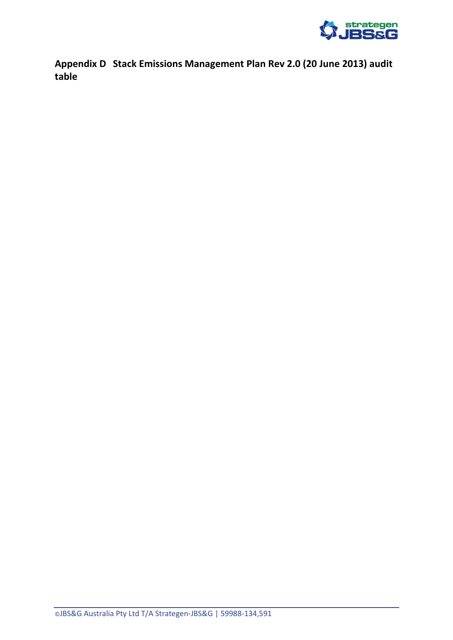

<span id="page-25-0"></span>**Appendix D Stack Emissions Management Plan Rev 2.0 (20 June 2013) audit table**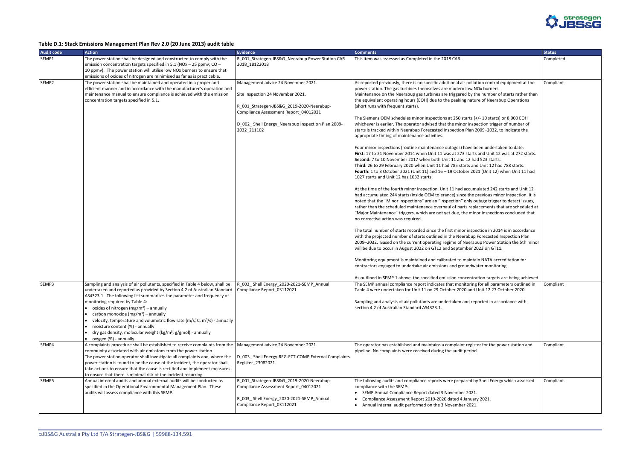

#### **Table D.1: Stack Emissions Management Plan Rev 2.0 (20 June 2013) audit table**

| <b>Audit code</b> | <b>Action</b>                                                                                                                                                                                                                                                                                                                                                                                                                                                                                                                                                                                          | <b>Evidence</b>                                                                                                                                                                                                                    | <b>Comments</b>                                                                                                                                                                                                                                                                                                                                                                                                                                                                                                                                                                                                                                                                                                                                                                                                                                                                                                                                                                                                                                                                                                                                                                                                                                                                                                                                                                                                                                                                                                                                                                                                                                                                                                                                                          | <b>Status</b> |
|-------------------|--------------------------------------------------------------------------------------------------------------------------------------------------------------------------------------------------------------------------------------------------------------------------------------------------------------------------------------------------------------------------------------------------------------------------------------------------------------------------------------------------------------------------------------------------------------------------------------------------------|------------------------------------------------------------------------------------------------------------------------------------------------------------------------------------------------------------------------------------|--------------------------------------------------------------------------------------------------------------------------------------------------------------------------------------------------------------------------------------------------------------------------------------------------------------------------------------------------------------------------------------------------------------------------------------------------------------------------------------------------------------------------------------------------------------------------------------------------------------------------------------------------------------------------------------------------------------------------------------------------------------------------------------------------------------------------------------------------------------------------------------------------------------------------------------------------------------------------------------------------------------------------------------------------------------------------------------------------------------------------------------------------------------------------------------------------------------------------------------------------------------------------------------------------------------------------------------------------------------------------------------------------------------------------------------------------------------------------------------------------------------------------------------------------------------------------------------------------------------------------------------------------------------------------------------------------------------------------------------------------------------------------|---------------|
| SEMP1             | The power station shall be designed and constructed to comply with the<br>emission concentration targets specified in 5.1 (NOx - 25 ppmv; CO -<br>10 ppmv). The power station will utilise low NOx burners to ensure that                                                                                                                                                                                                                                                                                                                                                                              | R_001_Strategen-JBS&G_Neerabup Power Station CAR<br>2018 18122018                                                                                                                                                                  | This item was assessed as Completed in the 2018 CAR.                                                                                                                                                                                                                                                                                                                                                                                                                                                                                                                                                                                                                                                                                                                                                                                                                                                                                                                                                                                                                                                                                                                                                                                                                                                                                                                                                                                                                                                                                                                                                                                                                                                                                                                     | Completed     |
|                   | emissions of oxides of nitrogen are minimised as far as is practicable.                                                                                                                                                                                                                                                                                                                                                                                                                                                                                                                                |                                                                                                                                                                                                                                    |                                                                                                                                                                                                                                                                                                                                                                                                                                                                                                                                                                                                                                                                                                                                                                                                                                                                                                                                                                                                                                                                                                                                                                                                                                                                                                                                                                                                                                                                                                                                                                                                                                                                                                                                                                          |               |
| SEMP <sub>2</sub> | The power station shall be maintained and operated in a proper and<br>efficient manner and in accordance with the manufacturer's operation and<br>maintenance manual to ensure compliance is achieved with the emission<br>concentration targets specified in 5.1.                                                                                                                                                                                                                                                                                                                                     | Management advice 24 November 2021.<br>Site inspection 24 November 2021.<br>R 001 Strategen-JBS&G 2019-2020-Neerabup-<br>Compliance Assessment Report_04012021<br>D 002 Shell Energy Neerabup Inspection Plan 2009-<br>2032_211102 | As reported previously, there is no specific additional air pollution control equipment at the<br>power station. The gas turbines themselves are modern low NOx burners.<br>Maintenance on the Neerabup gas turbines are triggered by the number of starts rather than<br>the equivalent operating hours (EOH) due to the peaking nature of Neerabup Operations<br>(short runs with frequent starts).<br>The Siemens OEM schedules minor inspections at 250 starts (+/- 10 starts) or 8,000 EOH<br>whichever is earlier. The operator advised that the minor inspection trigger of number of<br>starts is tracked within Neerabup Forecasted Inspection Plan 2009-2032, to indicate the<br>appropriate timing of maintenance activities.<br>Four minor inspections (routine maintenance outages) have been undertaken to date:<br>First: 17 to 21 November 2014 when Unit 11 was at 273 starts and Unit 12 was at 272 starts.<br>Second: 7 to 10 November 2017 when both Unit 11 and 12 had 523 starts.<br>Third: 26 to 29 February 2020 when Unit 11 had 785 starts and Unit 12 had 788 starts.<br>Fourth: 1 to 3 October 2021 (Unit 11) and 16 - 19 October 2021 (Unit 12) when Unit 11 had<br>1027 starts and Unit 12 has 1032 starts.<br>At the time of the fourth minor inspection, Unit 11 had accumulated 242 starts and Unit 12<br>had accumulated 244 starts (inside OEM tolerance) since the previous minor inspection. It is<br>noted that the "Minor inspections" are an "Inspection" only outage trigger to detect issues,<br>rather than the scheduled maintenance overhaul of parts replacements that are scheduled at<br>"Major Maintenance" triggers, which are not yet due, the minor inspections concluded that<br>no corrective action was required. | Compliant     |
|                   |                                                                                                                                                                                                                                                                                                                                                                                                                                                                                                                                                                                                        |                                                                                                                                                                                                                                    | The total number of starts recorded since the first minor inspection in 2014 is in accordance<br>with the projected number of starts outlined in the Neerabup Forecasted Inspection Plan<br>2009-2032. Based on the current operating regime of Neerabup Power Station the 5th minor<br>will be due to occur in August 2022 on GT12 and September 2023 on GT11.<br>Monitoring equipment is maintained and calibrated to maintain NATA accreditation for<br>contractors engaged to undertake air emissions and groundwater monitoring.                                                                                                                                                                                                                                                                                                                                                                                                                                                                                                                                                                                                                                                                                                                                                                                                                                                                                                                                                                                                                                                                                                                                                                                                                                    |               |
|                   |                                                                                                                                                                                                                                                                                                                                                                                                                                                                                                                                                                                                        |                                                                                                                                                                                                                                    | As outlined in SEMP 1 above, the specified emission concentration targets are being achieved.                                                                                                                                                                                                                                                                                                                                                                                                                                                                                                                                                                                                                                                                                                                                                                                                                                                                                                                                                                                                                                                                                                                                                                                                                                                                                                                                                                                                                                                                                                                                                                                                                                                                            |               |
| SEMP3             | Sampling and analysis of air pollutants, specified in Table 4 below, shall be<br>undertaken and reported as provided by Section 4.2 of Australian Standard   Compliance Report_03112021<br>AS4323.1. The following list summarises the parameter and frequency of<br>monitoring required by Table 4:<br>oxides of nitrogen $(mg/m^3)$ – annually<br>carbon monoxide (mg/m <sup>3</sup> ) – annually<br>velocity, temperature and volumetric flow rate (m/s,°C, m <sup>3</sup> /s) - annually<br>moisture content (%) - annually<br>dry gas density, molecular weight ( $kg/m3$ , $g/gmol$ ) - annually | R_003_Shell Energy_2020-2021-SEMP_Annual                                                                                                                                                                                           | The SEMP annual compliance report indicates that monitoring for all parameters outlined in<br>Table 4 were undertaken for Unit 11 on 29 October 2020 and Unit 12 27 October 2020.<br>Sampling and analysis of air pollutants are undertaken and reported in accordance with<br>section 4.2 of Australian Standard AS4323.1.                                                                                                                                                                                                                                                                                                                                                                                                                                                                                                                                                                                                                                                                                                                                                                                                                                                                                                                                                                                                                                                                                                                                                                                                                                                                                                                                                                                                                                              | Compliant     |
|                   | oxygen (%) - annually.                                                                                                                                                                                                                                                                                                                                                                                                                                                                                                                                                                                 |                                                                                                                                                                                                                                    |                                                                                                                                                                                                                                                                                                                                                                                                                                                                                                                                                                                                                                                                                                                                                                                                                                                                                                                                                                                                                                                                                                                                                                                                                                                                                                                                                                                                                                                                                                                                                                                                                                                                                                                                                                          |               |
| SEMP4             | A complaints procedure shall be established to receive complaints from the<br>community associated with air emissions from the power station.<br>The power station operator shall investigate all complaints and, where the<br>power station is found to be the cause of the incident, the operator shall<br>take actions to ensure that the cause is rectified and implement measures<br>to ensure that there is minimal risk of the incident recurring.                                                                                                                                              | Management advice 24 November 2021.<br>D_003_Shell Energy-REG-ECT-COMP External Complaints<br>Register_23082021                                                                                                                    | The operator has established and maintains a complaint register for the power station and<br>pipeline. No complaints were received during the audit period.                                                                                                                                                                                                                                                                                                                                                                                                                                                                                                                                                                                                                                                                                                                                                                                                                                                                                                                                                                                                                                                                                                                                                                                                                                                                                                                                                                                                                                                                                                                                                                                                              | Compliant     |
| SEMP5             | Annual internal audits and annual external audits will be conducted as<br>specified in the Operational Environmental Management Plan. These<br>audits will assess compliance with this SEMP.                                                                                                                                                                                                                                                                                                                                                                                                           | R_001_Strategen-JBS&G_2019-2020-Neerabup-<br>Compliance Assessment Report_04012021<br>R_003_Shell Energy_2020-2021-SEMP_Annual<br>Compliance Report_03112021                                                                       | The following audits and compliance reports were prepared by Shell Energy which assessed<br>compliance with the SEMP:<br>SEMP Annual Compliance Report dated 3 November 2021.<br>Compliance Assessment Report 2019-2020 dated 4 January 2021.<br>Annual internal audit performed on the 3 November 2021.                                                                                                                                                                                                                                                                                                                                                                                                                                                                                                                                                                                                                                                                                                                                                                                                                                                                                                                                                                                                                                                                                                                                                                                                                                                                                                                                                                                                                                                                 | Compliant     |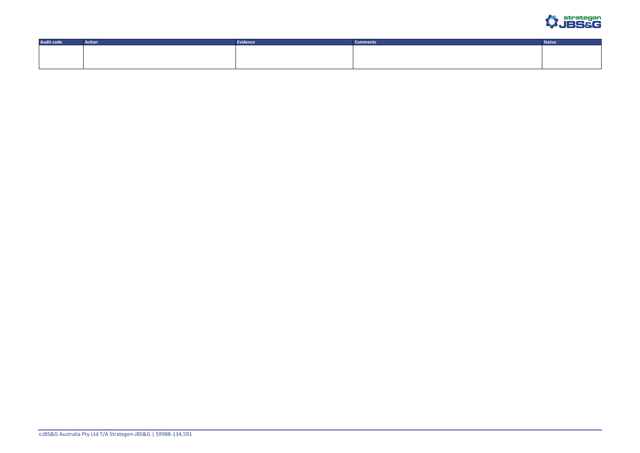

| <b>Audit code</b> | Action | Evidence | Comments | <b>Status</b> |
|-------------------|--------|----------|----------|---------------|
|                   |        |          |          |               |
|                   |        |          |          |               |
|                   |        |          |          |               |
|                   |        |          |          |               |
|                   |        |          |          |               |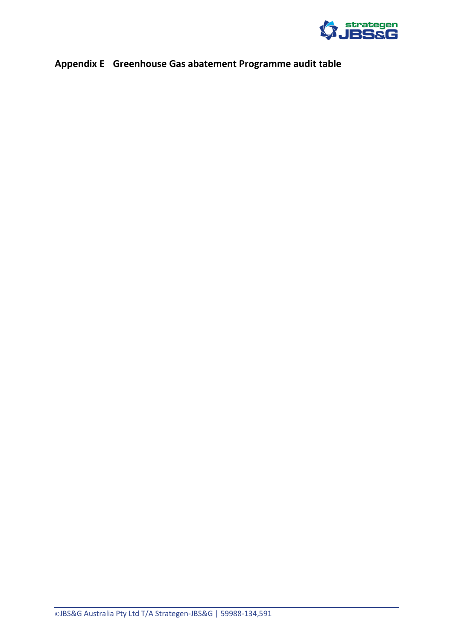

# <span id="page-28-0"></span>**Appendix E Greenhouse Gas abatement Programme audit table**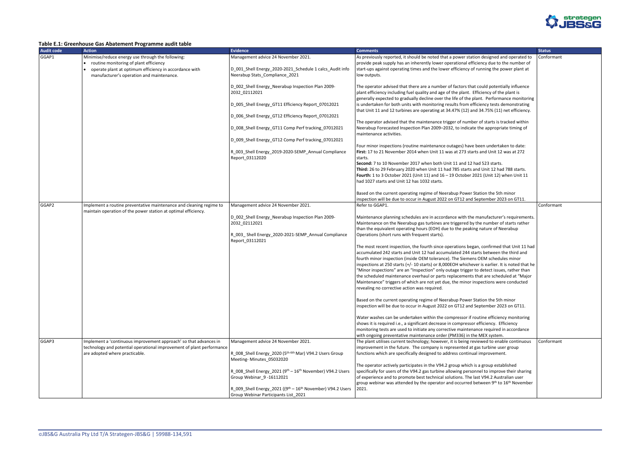

#### <span id="page-29-0"></span>**Table E.1: Greenhouse Gas Abatement Programme audit table**

| <b>Audit code</b> | <b>Action</b>                                                                                                                         | <b>Evidence</b>                                            | <b>Comments</b>                                                                                                                                                                              | <b>Status</b> |
|-------------------|---------------------------------------------------------------------------------------------------------------------------------------|------------------------------------------------------------|----------------------------------------------------------------------------------------------------------------------------------------------------------------------------------------------|---------------|
| GGAP1             | Minimise/reduce energy use through the following:                                                                                     | Management advice 24 November 2021.                        | As previously reported, it should be noted that a power station designed and operated to                                                                                                     | Confo         |
|                   | routine monitoring of plant efficiency                                                                                                |                                                            | provide peak supply has an inherently lower operational efficiency due to the number of                                                                                                      |               |
|                   | operate plant at optimum efficiency in accordance with                                                                                | D_001_Shell Energy_2020-2021_Schedule 1 calcs_Audit info   | start-ups against operating times and the lower efficiency of running the power plant at                                                                                                     |               |
|                   | manufacturer's operation and maintenance.                                                                                             | Neerabup Stats_Compliance_2021                             | low outputs.                                                                                                                                                                                 |               |
|                   |                                                                                                                                       | D_002_Shell Energy_Neerabup Inspection Plan 2009-          | The operator advised that there are a number of factors that could potentially influence                                                                                                     |               |
|                   |                                                                                                                                       | 2032_02112021                                              | plant efficiency including fuel quality and age of the plant. Efficiency of the plant is                                                                                                     |               |
|                   |                                                                                                                                       |                                                            | generally expected to gradually decline over the life of the plant. Performance monitoring                                                                                                   |               |
|                   |                                                                                                                                       | D_005_Shell Energy_GT11 Efficiency Report_07012021         | is undertaken for both units with monitoring results from efficiency tests demonstrating                                                                                                     |               |
|                   |                                                                                                                                       |                                                            | that Unit 11 and 12 turbines are operating at 34.47% (12) and 34.75% (11) net efficiency.                                                                                                    |               |
|                   |                                                                                                                                       | D 006 Shell Energy GT12 Efficiency Report 07012021         |                                                                                                                                                                                              |               |
|                   |                                                                                                                                       |                                                            | The operator advised that the maintenance trigger of number of starts is tracked within                                                                                                      |               |
|                   |                                                                                                                                       | D_008_Shell Energy_GT11 Comp Perf tracking_07012021        | Neerabup Forecasted Inspection Plan 2009-2032, to indicate the appropriate timing of                                                                                                         |               |
|                   |                                                                                                                                       |                                                            | maintenance activities.                                                                                                                                                                      |               |
|                   |                                                                                                                                       | D_009_Shell Energy_GT12 Comp Perf tracking_07012021        | Four minor inspections (routine maintenance outages) have been undertaken to date:                                                                                                           |               |
|                   |                                                                                                                                       | R 003 Shell Energy 2019-2020-SEMP Annual Compliance        | First: 17 to 21 November 2014 when Unit 11 was at 273 starts and Unit 12 was at 272                                                                                                          |               |
|                   |                                                                                                                                       | Report_03112020                                            | starts.                                                                                                                                                                                      |               |
|                   |                                                                                                                                       |                                                            | Second: 7 to 10 November 2017 when both Unit 11 and 12 had 523 starts.                                                                                                                       |               |
|                   |                                                                                                                                       |                                                            | Third: 26 to 29 February 2020 when Unit 11 had 785 starts and Unit 12 had 788 starts.                                                                                                        |               |
|                   |                                                                                                                                       |                                                            | Fourth: 1 to 3 October 2021 (Unit 11) and 16 - 19 October 2021 (Unit 12) when Unit 11                                                                                                        |               |
|                   |                                                                                                                                       |                                                            | had 1027 starts and Unit 12 has 1032 starts.                                                                                                                                                 |               |
|                   |                                                                                                                                       |                                                            |                                                                                                                                                                                              |               |
|                   |                                                                                                                                       |                                                            | Based on the current operating regime of Neerabup Power Station the 5th minor                                                                                                                |               |
|                   |                                                                                                                                       |                                                            | inspection will be due to occur in August 2022 on GT12 and September 2023 on GT11.                                                                                                           |               |
| GGAP2             | Implement a routine preventative maintenance and cleaning regime to<br>maintain operation of the power station at optimal efficiency. | Management advice 24 November 2021.                        | Refer to GGAP1.                                                                                                                                                                              | Confo         |
|                   |                                                                                                                                       | D_002_Shell Energy_Neerabup Inspection Plan 2009-          | Maintenance planning schedules are in accordance with the manufacturer's requirements.                                                                                                       |               |
|                   |                                                                                                                                       | 2032_02112021                                              | Maintenance on the Neerabup gas turbines are triggered by the number of starts rather                                                                                                        |               |
|                   |                                                                                                                                       |                                                            | than the equivalent operating hours (EOH) due to the peaking nature of Neerabup                                                                                                              |               |
|                   |                                                                                                                                       | R_003_Shell Energy_2020-2021-SEMP_Annual Compliance        | Operations (short runs with frequent starts).                                                                                                                                                |               |
|                   |                                                                                                                                       | Report_03112021                                            |                                                                                                                                                                                              |               |
|                   |                                                                                                                                       |                                                            | The most recent inspection, the fourth since operations began, confirmed that Unit 11 had                                                                                                    |               |
|                   |                                                                                                                                       |                                                            | accumulated 242 starts and Unit 12 had accumulated 244 starts between the third and                                                                                                          |               |
|                   |                                                                                                                                       |                                                            | fourth minor inspection (inside OEM tolerance). The Siemens OEM schedules minor                                                                                                              |               |
|                   |                                                                                                                                       |                                                            | inspections at 250 starts (+/- 10 starts) or 8,000EOH whichever is earlier. It is noted that he<br>"Minor inspections" are an "Inspection" only outage trigger to detect issues, rather than |               |
|                   |                                                                                                                                       |                                                            | the scheduled maintenance overhaul or parts replacements that are scheduled at "Major                                                                                                        |               |
|                   |                                                                                                                                       |                                                            | Maintenance" triggers of which are not yet due, the minor inspections were conducted                                                                                                         |               |
|                   |                                                                                                                                       |                                                            | revealing no corrective action was required.                                                                                                                                                 |               |
|                   |                                                                                                                                       |                                                            |                                                                                                                                                                                              |               |
|                   |                                                                                                                                       |                                                            | Based on the current operating regime of Neerabup Power Station the 5th minor                                                                                                                |               |
|                   |                                                                                                                                       |                                                            | inspection will be due to occur in August 2022 on GT12 and September 2023 on GT11.                                                                                                           |               |
|                   |                                                                                                                                       |                                                            |                                                                                                                                                                                              |               |
|                   |                                                                                                                                       |                                                            | Water washes can be undertaken within the compressor if routine efficiency monitoring                                                                                                        |               |
|                   |                                                                                                                                       |                                                            | shows it is required i.e., a significant decrease in compressor efficiency. Efficiency<br>monitoring tests are used to initiate any corrective maintenance required in accordance            |               |
|                   |                                                                                                                                       |                                                            | with ongoing preventative maintenance order (PM336) in the MEX system.                                                                                                                       |               |
| GGAP3             | Implement a 'continuous improvement approach' so that advances in                                                                     | Management advice 24 November 2021.                        | The plant utilises current technology; however, it is being reviewed to enable continuous                                                                                                    | Confo         |
|                   | technology and potential operational improvement of plant performance                                                                 |                                                            | improvement in the future. The company is represented at gas turbine user group                                                                                                              |               |
|                   | are adopted where practicable.                                                                                                        | R_008_Shell Energy_2020 (5th-6th Mar) V94.2 Users Group    | functions which are specifically designed to address continual improvement.                                                                                                                  |               |
|                   |                                                                                                                                       | Meeting-Minutes_05032020                                   |                                                                                                                                                                                              |               |
|                   |                                                                                                                                       |                                                            | The operator actively participates in the V94.2 group which is a group established                                                                                                           |               |
|                   |                                                                                                                                       | R_008_Shell Energy_2021 (9th - 16th November) V94.2 Users  | specifically for users of the V94.2 gas turbine allowing personnel to improve their sharing                                                                                                  |               |
|                   |                                                                                                                                       | Group Webinar_9-16112021                                   | of experience and to promote best technical solutions. The last V94.2 Australian user                                                                                                        |               |
|                   |                                                                                                                                       |                                                            | group webinar was attended by the operator and occurred between 9th to 16th November                                                                                                         |               |
|                   |                                                                                                                                       | R_009_Shell Energy_2021 ((9th - 16th November) V94.2 Users | 2021.                                                                                                                                                                                        |               |
|                   |                                                                                                                                       | Group Webinar Participants List_2021                       |                                                                                                                                                                                              |               |

|                                                                                                                          | <b>Status</b> |
|--------------------------------------------------------------------------------------------------------------------------|---------------|
| esigned and operated to<br>cy due to the number of                                                                       | Conformant    |
| ing the power plant at                                                                                                   |               |
| Id potentially influence<br>ncy of the plant is                                                                          |               |
| Performance monitoring<br>cy tests demonstrating                                                                         |               |
| .75% (11) net efficiency.<br>starts is tracked within                                                                    |               |
| appropriate timing of                                                                                                    |               |
| undertaken to date:<br>d Unit 12 was at 272                                                                              |               |
| 23 starts.<br>nit 12 had 788 starts.<br>(Unit 12) when Unit 11                                                           |               |
|                                                                                                                          |               |
| on the 5th minor<br>ember 2023 on GT11.                                                                                  | Conformant    |
|                                                                                                                          |               |
| ufacturer's requirements.<br>number of starts rather<br>ture of Neerabup                                                 |               |
| onfirmed that Unit 11 had<br>between the third and<br>M schedules minor                                                  |               |
| earlier. It is noted that he                                                                                             |               |
| tect issues, rather than                                                                                                 |               |
| are scheduled at "Major<br>ctions were conducted                                                                         |               |
| on the 5th minor<br>ember 2023 on GT11.                                                                                  |               |
| e efficiency monitoring                                                                                                  |               |
| ciency. Efficiency<br>required in accordance                                                                             |               |
| EX system.                                                                                                               |               |
| ed to enable continuous<br>urbine user group<br>provement.                                                               | Conformant    |
| roup established<br>to improve their sharing<br>94.2 Australian user<br>een 9 <sup>th</sup> to 16 <sup>th</sup> November |               |
|                                                                                                                          |               |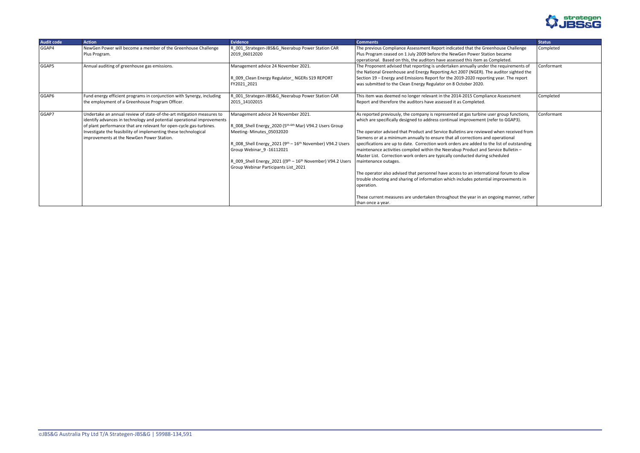

| <b>Audit code</b> | <b>Action</b>                                                                                                                                                                                                                                                                                                                          | <b>Evidence</b>                                                                                                                                                                                                                                                                                                                           | <b>Comments</b>                                                                                                                                                                                                                                                                                                                                                                                                                                                                                                                                                                                                                                                                                                                                                                                                                                                                                                                                                         | <b>Status</b> |
|-------------------|----------------------------------------------------------------------------------------------------------------------------------------------------------------------------------------------------------------------------------------------------------------------------------------------------------------------------------------|-------------------------------------------------------------------------------------------------------------------------------------------------------------------------------------------------------------------------------------------------------------------------------------------------------------------------------------------|-------------------------------------------------------------------------------------------------------------------------------------------------------------------------------------------------------------------------------------------------------------------------------------------------------------------------------------------------------------------------------------------------------------------------------------------------------------------------------------------------------------------------------------------------------------------------------------------------------------------------------------------------------------------------------------------------------------------------------------------------------------------------------------------------------------------------------------------------------------------------------------------------------------------------------------------------------------------------|---------------|
| GGAP4             | NewGen Power will become a member of the Greenhouse Challenge<br>Plus Program.                                                                                                                                                                                                                                                         | R_001_Strategen-JBS&G_Neerabup Power Station CAR<br>2019 06012020                                                                                                                                                                                                                                                                         | The previous Compliance Assessment Report indicated that the Greenhouse Challenge<br>Plus Program ceased on 1 July 2009 before the NewGen Power Station became<br>operational. Based on this, the auditors have assessed this item as Completed.                                                                                                                                                                                                                                                                                                                                                                                                                                                                                                                                                                                                                                                                                                                        | Completed     |
| GGAP5             | Annual auditing of greenhouse gas emissions.                                                                                                                                                                                                                                                                                           | Management advice 24 November 2021.<br>R 009 Clean Energy Regulator NGERs S19 REPORT<br>FY2021_2021                                                                                                                                                                                                                                       | The Proponent advised that reporting is undertaken annually under the requirements of<br>the National Greenhouse and Energy Reporting Act 2007 (NGER). The auditor sighted the<br>Section 19 - Energy and Emissions Report for the 2019-2020 reporting year. The report<br>was submitted to the Clean Energy Regulator on 8 October 2020.                                                                                                                                                                                                                                                                                                                                                                                                                                                                                                                                                                                                                               | Conformant    |
| GGAP6             | Fund energy efficient programs in conjunction with Synergy, including<br>the employment of a Greenhouse Program Officer.                                                                                                                                                                                                               | R_001_Strategen-JBS&G_Neerabup Power Station CAR<br>2015 14102015                                                                                                                                                                                                                                                                         | This item was deemed no longer relevant in the 2014-2015 Compliance Assessment<br>Report and therefore the auditors have assessed it as Completed.                                                                                                                                                                                                                                                                                                                                                                                                                                                                                                                                                                                                                                                                                                                                                                                                                      | Completed     |
| GGAP7             | Undertake an annual review of state-of-the-art mitigation measures to<br>identify advances in technology and potential operational improvements<br>of plant performance that are relevant for open-cycle gas-turbines.<br>Investigate the feasibility of implementing these technological<br>improvements at the NewGen Power Station. | Management advice 24 November 2021.<br>R_008_Shell Energy_2020 (5 <sup>th-6th</sup> Mar) V94.2 Users Group<br>Meeting-Minutes 05032020<br>R_008_Shell Energy_2021 ( $9th - 16th$ November) V94.2 Users<br>Group Webinar_9 -16112021<br>R_009_Shell Energy_2021 ((9th - 16th November) V94.2 Users<br>Group Webinar Participants List_2021 | As reported previously, the company is represented at gas turbine user group functions,<br>which are specifically designed to address continual improvement (refer to GGAP3).<br>The operator advised that Product and Service Bulletins are reviewed when received from<br>Siemens or at a minimum annually to ensure that all corrections and operational<br>specifications are up to date. Correction work orders are added to the list of outstanding<br>maintenance activities compiled within the Neerabup Product and Service Bulletin -<br>Master List. Correction work orders are typically conducted during scheduled<br>maintenance outages.<br>The operator also advised that personnel have access to an international forum to allow<br>trouble shooting and sharing of information which includes potential improvements in<br>operation.<br>These current measures are undertaken throughout the year in an ongoing manner, rather<br>than once a year. | Conformant    |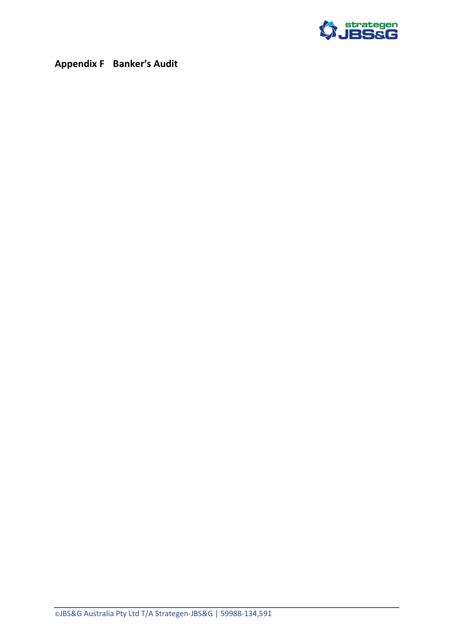

<span id="page-31-0"></span>**Appendix F Banker's Audit**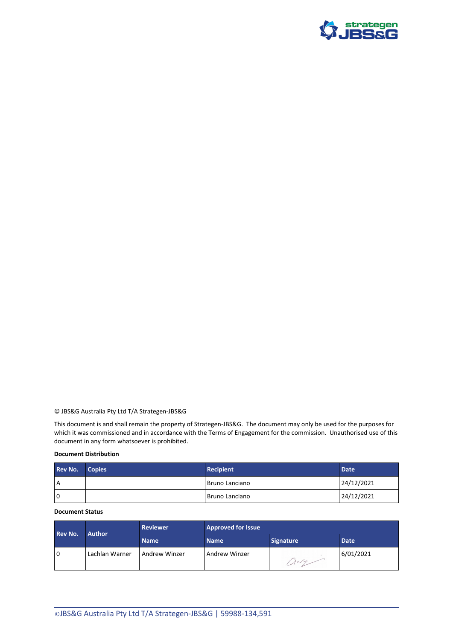

#### © JBS&G Australia Pty Ltd T/A Strategen-JBS&G

This document is and shall remain the property of Strategen-JBS&G. The document may only be used for the purposes for which it was commissioned and in accordance with the Terms of Engagement for the commission. Unauthorised use of this document in any form whatsoever is prohibited.

#### **Document Distribution**

| <b>Rev No.</b> | <b>Copies</b> | <b>Recipient</b> | <b>Date</b> |
|----------------|---------------|------------------|-------------|
| A              |               | l Bruno Lanciano | 24/12/2021  |
| l O            |               | l Bruno Lanciano | 24/12/2021  |

#### **Document Status**

| <b>Rev No.</b> | <b>Author</b>  | <b>Reviewer</b>      | <b>Approved for Issue</b> |                  |           |
|----------------|----------------|----------------------|---------------------------|------------------|-----------|
|                |                | <b>Name</b>          | <b>Name</b>               | <b>Signature</b> | Date      |
| l O            | Lachlan Warner | <b>Andrew Winzer</b> | Andrew Winzer             | $1 - 7$          | 6/01/2021 |